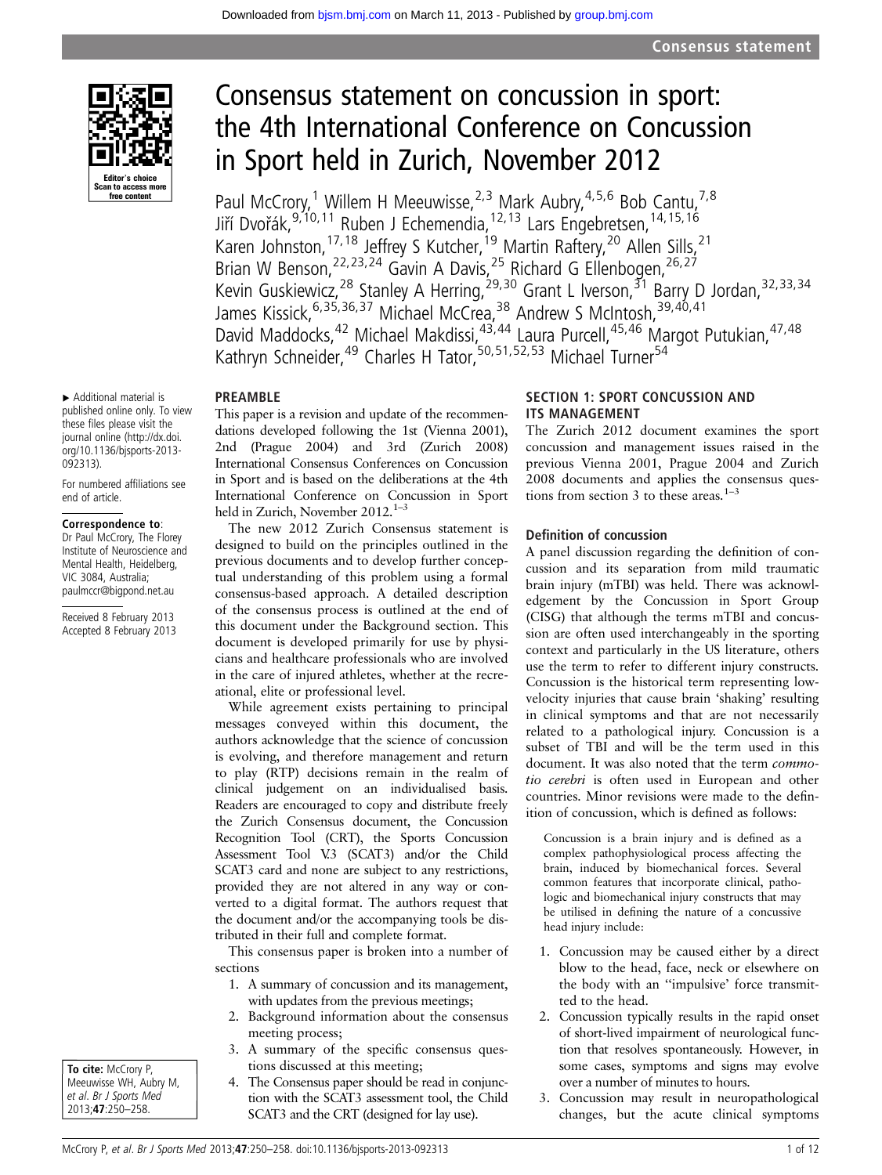

▸ Additional material is published online only. To view these files please visit the journal online [\(http://dx.doi.](http://dx.doi.org/10.1136/bjsports-2013-092313) [org/10.1136/bjsports-2013-](http://dx.doi.org/10.1136/bjsports-2013-092313) [092313](http://dx.doi.org/10.1136/bjsports-2013-092313)).

For numbered affiliations see end of article.

#### Correspondence to:

Dr Paul McCrory, The Florey Institute of Neuroscience and Mental Health, Heidelberg, VIC 3084, Australia; paulmccr@bigpond.net.au

Received 8 February 2013 Accepted 8 February 2013

To cite: McCrory P. Meeuwisse WH, Aubry M, et al. Br J Sports Med 2013;47:250–258.

# Consensus statement on concussion in sport: the 4th International Conference on Concussion in Sport held in Zurich, November 2012

Paul McCrory,<sup>1</sup> Willem H Meeuwisse,<sup>2,3</sup> Mark Aubry,<sup>4,5,6</sup> Bob Cantu,<sup>7,8</sup> Jiří Dvořák, 9,10,11 Ruben J Echemendia, <sup>12,13</sup> Lars Engebretsen, <sup>14,15,16</sup> Karen Johnston, <sup>17, 18</sup> Jeffrey S Kutcher, <sup>19</sup> Martin Raftery, <sup>20</sup> Allen Sills, <sup>21</sup> Brian W Benson, <sup>22, 23, 24</sup> Gavin A Davis, <sup>25</sup> Richard G Ellenbogen, <sup>26, 27</sup> Kevin Guskiewicz,<sup>28</sup> Stanley A Herring,<sup>29,30</sup> Grant L Iverson,<sup>31</sup> Barry D Jordan,<sup>32,33,34</sup> James Kissick, <sup>6, 35, 36, 37</sup> Michael McCrea, <sup>38</sup> Andrew S McIntosh, <sup>39, 40, 41</sup> David Maddocks,<sup>42</sup> Michael Makdissi,<sup>43,44</sup> Laura Purcell,<sup>45,46</sup> Margot Putukian,<sup>47,48</sup> Kathryn Schneider,<sup>49</sup> Charles H Tator,<sup>50,51,52,53</sup> Michael Turner<sup>54</sup>

# PREAMBLE

This paper is a revision and update of the recommendations developed following the 1st (Vienna 2001), 2nd (Prague 2004) and 3rd (Zurich 2008) International Consensus Conferences on Concussion in Sport and is based on the deliberations at the 4th International Conference on Concussion in Sport held in Zurich, November  $2012$ .<sup>1-3</sup>

The new 2012 Zurich Consensus statement is designed to build on the principles outlined in the previous documents and to develop further conceptual understanding of this problem using a formal consensus-based approach. A detailed description of the consensus process is outlined at the end of this document under the Background section. This document is developed primarily for use by physicians and healthcare professionals who are involved in the care of injured athletes, whether at the recreational, elite or professional level.

While agreement exists pertaining to principal messages conveyed within this document, the authors acknowledge that the science of concussion is evolving, and therefore management and return to play (RTP) decisions remain in the realm of clinical judgement on an individualised basis. Readers are encouraged to copy and distribute freely the Zurich Consensus document, the Concussion Recognition Tool (CRT), the Sports Concussion Assessment Tool V.3 (SCAT3) and/or the Child SCAT3 card and none are subject to any restrictions, provided they are not altered in any way or converted to a digital format. The authors request that the document and/or the accompanying tools be distributed in their full and complete format.

This consensus paper is broken into a number of sections

- 1. A summary of concussion and its management, with updates from the previous meetings;
- 2. Background information about the consensus meeting process;
- 3. A summary of the specific consensus questions discussed at this meeting;
- 4. The Consensus paper should be read in conjunction with the SCAT3 assessment tool, the Child SCAT3 and the CRT (designed for lay use).

## SECTION 1: SPORT CONCUSSION AND ITS MANAGEMENT

The Zurich 2012 document examines the sport concussion and management issues raised in the previous Vienna 2001, Prague 2004 and Zurich 2008 documents and applies the consensus questions from section 3 to these areas. $1-3$ 

# Definition of concussion

A panel discussion regarding the definition of concussion and its separation from mild traumatic brain injury (mTBI) was held. There was acknowledgement by the Concussion in Sport Group (CISG) that although the terms mTBI and concussion are often used interchangeably in the sporting context and particularly in the US literature, others use the term to refer to different injury constructs. Concussion is the historical term representing lowvelocity injuries that cause brain 'shaking' resulting in clinical symptoms and that are not necessarily related to a pathological injury. Concussion is a subset of TBI and will be the term used in this document. It was also noted that the term commotio cerebri is often used in European and other countries. Minor revisions were made to the definition of concussion, which is defined as follows:

Concussion is a brain injury and is defined as a complex pathophysiological process affecting the brain, induced by biomechanical forces. Several common features that incorporate clinical, pathologic and biomechanical injury constructs that may be utilised in defining the nature of a concussive head injury include:

- 1. Concussion may be caused either by a direct blow to the head, face, neck or elsewhere on the body with an ''impulsive' force transmitted to the head.
- 2. Concussion typically results in the rapid onset of short-lived impairment of neurological function that resolves spontaneously. However, in some cases, symptoms and signs may evolve over a number of minutes to hours.
- 3. Concussion may result in neuropathological changes, but the acute clinical symptoms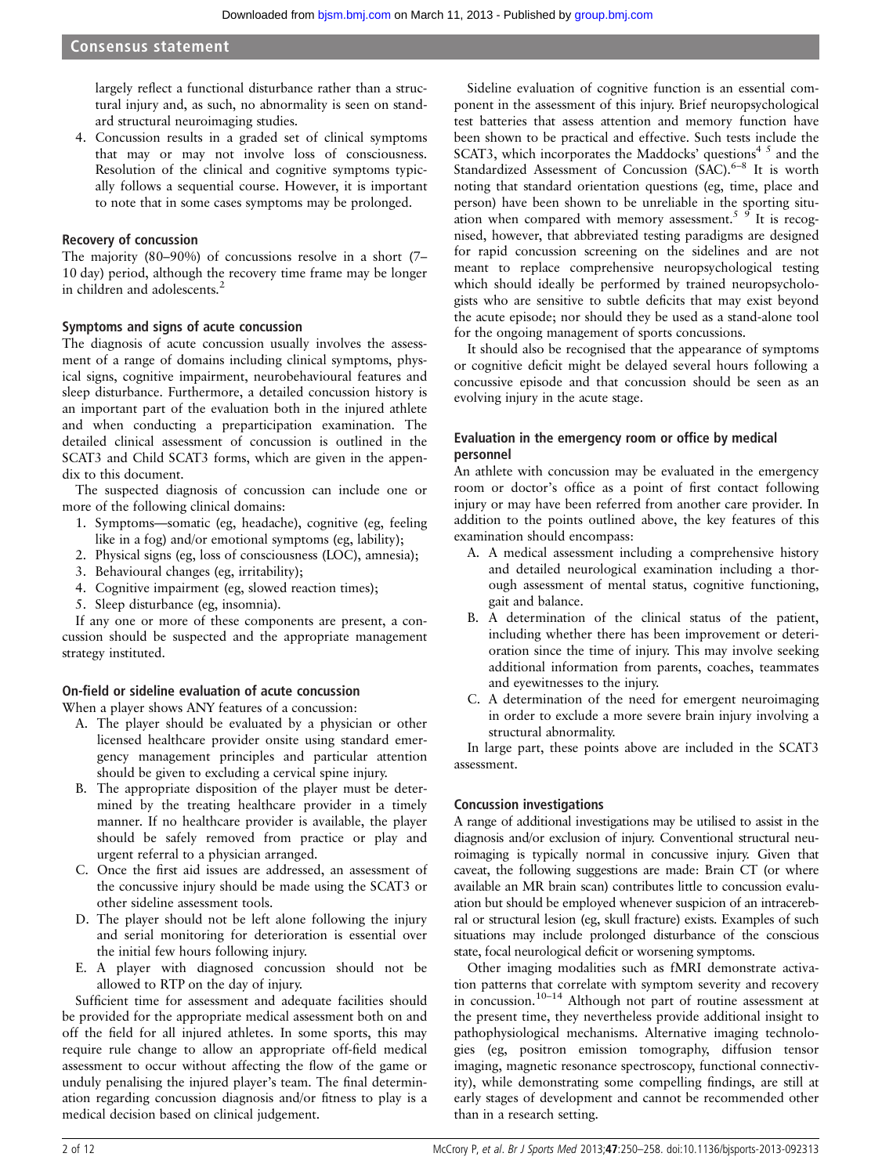largely reflect a functional disturbance rather than a structural injury and, as such, no abnormality is seen on standard structural neuroimaging studies.

4. Concussion results in a graded set of clinical symptoms that may or may not involve loss of consciousness. Resolution of the clinical and cognitive symptoms typically follows a sequential course. However, it is important to note that in some cases symptoms may be prolonged.

# Recovery of concussion

The majority (80–90%) of concussions resolve in a short (7– 10 day) period, although the recovery time frame may be longer in children and adolescents.<sup>2</sup>

#### Symptoms and signs of acute concussion

The diagnosis of acute concussion usually involves the assessment of a range of domains including clinical symptoms, physical signs, cognitive impairment, neurobehavioural features and sleep disturbance. Furthermore, a detailed concussion history is an important part of the evaluation both in the injured athlete and when conducting a preparticipation examination. The detailed clinical assessment of concussion is outlined in the SCAT3 and Child SCAT3 forms, which are given in the appendix to this document.

The suspected diagnosis of concussion can include one or more of the following clinical domains:

- 1. Symptoms—somatic (eg, headache), cognitive (eg, feeling like in a fog) and/or emotional symptoms (eg, lability);
- 2. Physical signs (eg, loss of consciousness (LOC), amnesia);
- 3. Behavioural changes (eg, irritability);
- 4. Cognitive impairment (eg, slowed reaction times);
- 5. Sleep disturbance (eg, insomnia).

If any one or more of these components are present, a concussion should be suspected and the appropriate management strategy instituted.

# On-field or sideline evaluation of acute concussion

When a player shows ANY features of a concussion:

- A. The player should be evaluated by a physician or other licensed healthcare provider onsite using standard emergency management principles and particular attention should be given to excluding a cervical spine injury.
- B. The appropriate disposition of the player must be determined by the treating healthcare provider in a timely manner. If no healthcare provider is available, the player should be safely removed from practice or play and urgent referral to a physician arranged.
- C. Once the first aid issues are addressed, an assessment of the concussive injury should be made using the SCAT3 or other sideline assessment tools.
- D. The player should not be left alone following the injury and serial monitoring for deterioration is essential over the initial few hours following injury.
- E. A player with diagnosed concussion should not be allowed to RTP on the day of injury.

Sufficient time for assessment and adequate facilities should be provided for the appropriate medical assessment both on and off the field for all injured athletes. In some sports, this may require rule change to allow an appropriate off-field medical assessment to occur without affecting the flow of the game or unduly penalising the injured player's team. The final determination regarding concussion diagnosis and/or fitness to play is a medical decision based on clinical judgement.

Sideline evaluation of cognitive function is an essential component in the assessment of this injury. Brief neuropsychological test batteries that assess attention and memory function have been shown to be practical and effective. Such tests include the SCAT3, which incorporates the Maddocks' questions<sup>4  $5$ </sup> and the Standardized Assessment of Concussion  $(SAC)$ .<sup>6–8</sup> It is worth noting that standard orientation questions (eg, time, place and person) have been shown to be unreliable in the sporting situation when compared with memory assessment.<sup>5</sup>  $\frac{9}{9}$  It is recognised, however, that abbreviated testing paradigms are designed for rapid concussion screening on the sidelines and are not meant to replace comprehensive neuropsychological testing which should ideally be performed by trained neuropsychologists who are sensitive to subtle deficits that may exist beyond the acute episode; nor should they be used as a stand-alone tool for the ongoing management of sports concussions.

It should also be recognised that the appearance of symptoms or cognitive deficit might be delayed several hours following a concussive episode and that concussion should be seen as an evolving injury in the acute stage.

## Evaluation in the emergency room or office by medical personnel

An athlete with concussion may be evaluated in the emergency room or doctor's office as a point of first contact following injury or may have been referred from another care provider. In addition to the points outlined above, the key features of this examination should encompass:

- A. A medical assessment including a comprehensive history and detailed neurological examination including a thorough assessment of mental status, cognitive functioning, gait and balance.
- B. A determination of the clinical status of the patient, including whether there has been improvement or deterioration since the time of injury. This may involve seeking additional information from parents, coaches, teammates and eyewitnesses to the injury.
- C. A determination of the need for emergent neuroimaging in order to exclude a more severe brain injury involving a structural abnormality.

In large part, these points above are included in the SCAT3 assessment.

## Concussion investigations

A range of additional investigations may be utilised to assist in the diagnosis and/or exclusion of injury. Conventional structural neuroimaging is typically normal in concussive injury. Given that caveat, the following suggestions are made: Brain CT (or where available an MR brain scan) contributes little to concussion evaluation but should be employed whenever suspicion of an intracerebral or structural lesion (eg, skull fracture) exists. Examples of such situations may include prolonged disturbance of the conscious state, focal neurological deficit or worsening symptoms.

Other imaging modalities such as fMRI demonstrate activation patterns that correlate with symptom severity and recovery in concussion.10–<sup>14</sup> Although not part of routine assessment at the present time, they nevertheless provide additional insight to pathophysiological mechanisms. Alternative imaging technologies (eg, positron emission tomography, diffusion tensor imaging, magnetic resonance spectroscopy, functional connectivity), while demonstrating some compelling findings, are still at early stages of development and cannot be recommended other than in a research setting.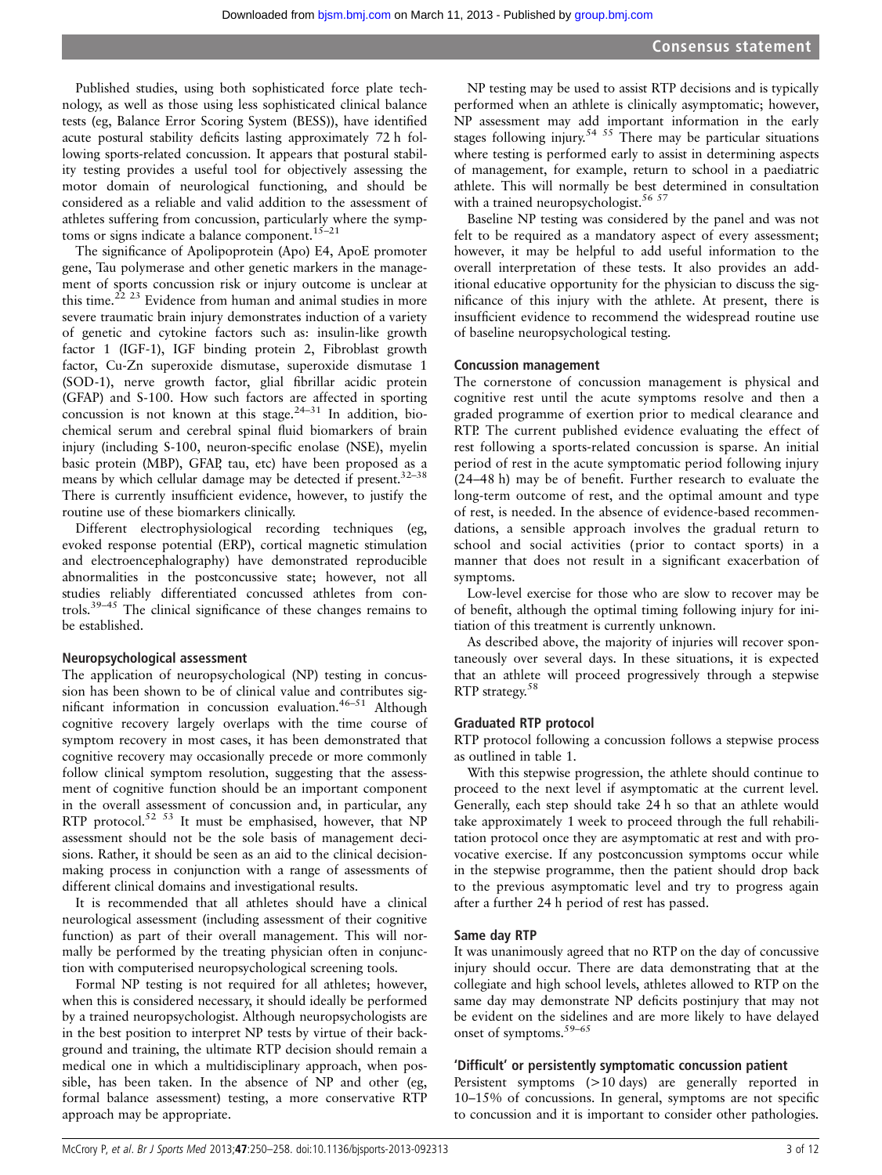Published studies, using both sophisticated force plate technology, as well as those using less sophisticated clinical balance tests (eg, Balance Error Scoring System (BESS)), have identified acute postural stability deficits lasting approximately 72 h following sports-related concussion. It appears that postural stability testing provides a useful tool for objectively assessing the motor domain of neurological functioning, and should be considered as a reliable and valid addition to the assessment of athletes suffering from concussion, particularly where the symptoms or signs indicate a balance component.<sup>15-21</sup>

The significance of Apolipoprotein (Apo) E4, ApoE promoter gene, Tau polymerase and other genetic markers in the management of sports concussion risk or injury outcome is unclear at this time.<sup>22 23</sup> Evidence from human and animal studies in more severe traumatic brain injury demonstrates induction of a variety of genetic and cytokine factors such as: insulin-like growth factor 1 (IGF-1), IGF binding protein 2, Fibroblast growth factor, Cu-Zn superoxide dismutase, superoxide dismutase 1 (SOD-1), nerve growth factor, glial fibrillar acidic protein (GFAP) and S-100. How such factors are affected in sporting concussion is not known at this stage.<sup>24–31</sup> In addition, biochemical serum and cerebral spinal fluid biomarkers of brain injury (including S-100, neuron-specific enolase (NSE), myelin basic protein (MBP), GFAP, tau, etc) have been proposed as a means by which cellular damage may be detected if present.<sup>32-38</sup> There is currently insufficient evidence, however, to justify the routine use of these biomarkers clinically.

Different electrophysiological recording techniques (eg, evoked response potential (ERP), cortical magnetic stimulation and electroencephalography) have demonstrated reproducible abnormalities in the postconcussive state; however, not all studies reliably differentiated concussed athletes from controls.39–<sup>45</sup> The clinical significance of these changes remains to be established.

#### Neuropsychological assessment

The application of neuropsychological (NP) testing in concussion has been shown to be of clinical value and contributes significant information in concussion evaluation.46–<sup>51</sup> Although cognitive recovery largely overlaps with the time course of symptom recovery in most cases, it has been demonstrated that cognitive recovery may occasionally precede or more commonly follow clinical symptom resolution, suggesting that the assessment of cognitive function should be an important component in the overall assessment of concussion and, in particular, any RTP protocol.<sup>52 53</sup> It must be emphasised, however, that NP assessment should not be the sole basis of management decisions. Rather, it should be seen as an aid to the clinical decisionmaking process in conjunction with a range of assessments of different clinical domains and investigational results.

It is recommended that all athletes should have a clinical neurological assessment (including assessment of their cognitive function) as part of their overall management. This will normally be performed by the treating physician often in conjunction with computerised neuropsychological screening tools.

Formal NP testing is not required for all athletes; however, when this is considered necessary, it should ideally be performed by a trained neuropsychologist. Although neuropsychologists are in the best position to interpret NP tests by virtue of their background and training, the ultimate RTP decision should remain a medical one in which a multidisciplinary approach, when possible, has been taken. In the absence of NP and other (eg, formal balance assessment) testing, a more conservative RTP approach may be appropriate.

NP testing may be used to assist RTP decisions and is typically performed when an athlete is clinically asymptomatic; however, NP assessment may add important information in the early stages following injury.<sup>54 55</sup> There may be particular situations where testing is performed early to assist in determining aspects of management, for example, return to school in a paediatric athlete. This will normally be best determined in consultation with a trained neuropsychologist.<sup>56 57</sup>

Baseline NP testing was considered by the panel and was not felt to be required as a mandatory aspect of every assessment; however, it may be helpful to add useful information to the overall interpretation of these tests. It also provides an additional educative opportunity for the physician to discuss the significance of this injury with the athlete. At present, there is insufficient evidence to recommend the widespread routine use of baseline neuropsychological testing.

#### Concussion management

The cornerstone of concussion management is physical and cognitive rest until the acute symptoms resolve and then a graded programme of exertion prior to medical clearance and RTP. The current published evidence evaluating the effect of rest following a sports-related concussion is sparse. An initial period of rest in the acute symptomatic period following injury (24–48 h) may be of benefit. Further research to evaluate the long-term outcome of rest, and the optimal amount and type of rest, is needed. In the absence of evidence-based recommendations, a sensible approach involves the gradual return to school and social activities ( prior to contact sports) in a manner that does not result in a significant exacerbation of symptoms.

Low-level exercise for those who are slow to recover may be of benefit, although the optimal timing following injury for initiation of this treatment is currently unknown.

As described above, the majority of injuries will recover spontaneously over several days. In these situations, it is expected that an athlete will proceed progressively through a stepwise RTP strategy.<sup>58</sup>

## Graduated RTP protocol

RTP protocol following a concussion follows a stepwise process as outlined in table 1.

With this stepwise progression, the athlete should continue to proceed to the next level if asymptomatic at the current level. Generally, each step should take 24 h so that an athlete would take approximately 1 week to proceed through the full rehabilitation protocol once they are asymptomatic at rest and with provocative exercise. If any postconcussion symptoms occur while in the stepwise programme, then the patient should drop back to the previous asymptomatic level and try to progress again after a further 24 h period of rest has passed.

#### Same day RTP

It was unanimously agreed that no RTP on the day of concussive injury should occur. There are data demonstrating that at the collegiate and high school levels, athletes allowed to RTP on the same day may demonstrate NP deficits postinjury that may not be evident on the sidelines and are more likely to have delayed onset of symptoms.59–<sup>65</sup>

## 'Difficult' or persistently symptomatic concussion patient

Persistent symptoms (>10 days) are generally reported in 10–15% of concussions. In general, symptoms are not specific to concussion and it is important to consider other pathologies.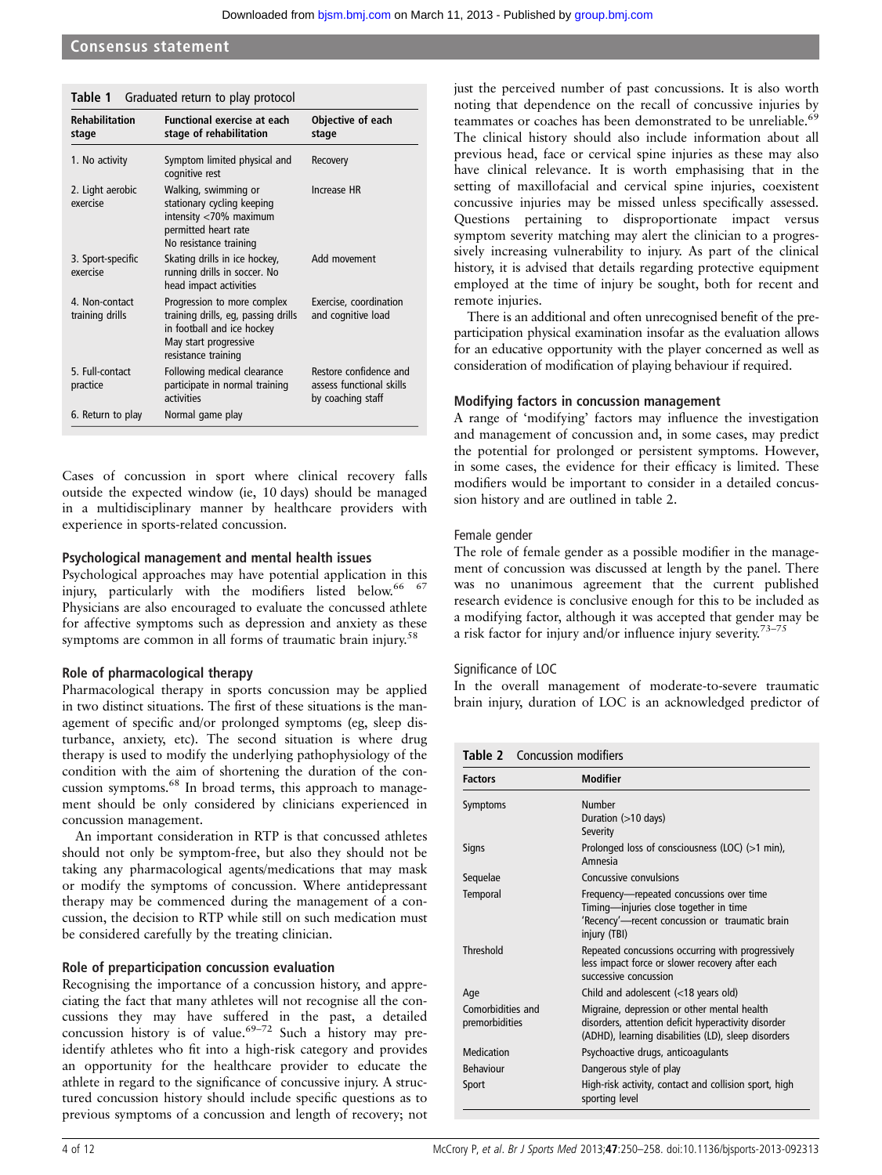| Table 1 | Graduated return to play protocol |  |  |  |  |  |
|---------|-----------------------------------|--|--|--|--|--|
|---------|-----------------------------------|--|--|--|--|--|

| <b>Rehabilitation</b><br>stage    | <b>Functional exercise at each</b><br>stage of rehabilitation                                                                                    | Objective of each<br>stage                                              |
|-----------------------------------|--------------------------------------------------------------------------------------------------------------------------------------------------|-------------------------------------------------------------------------|
| 1. No activity                    | Symptom limited physical and<br>cognitive rest                                                                                                   | Recovery                                                                |
| 2. Light aerobic<br>exercise      | Walking, swimming or<br>stationary cycling keeping<br>intensity <70% maximum<br>permitted heart rate<br>No resistance training                   | Increase HR                                                             |
| 3. Sport-specific<br>exercise     | Skating drills in ice hockey,<br>running drills in soccer. No<br>head impact activities                                                          | Add movement                                                            |
| 4. Non-contact<br>training drills | Progression to more complex<br>training drills, eg, passing drills<br>in football and ice hockey<br>May start progressive<br>resistance training | Exercise, coordination<br>and cognitive load                            |
| 5. Full-contact<br>practice       | Following medical clearance<br>participate in normal training<br>activities                                                                      | Restore confidence and<br>assess functional skills<br>by coaching staff |
| 6. Return to play                 | Normal game play                                                                                                                                 |                                                                         |

Cases of concussion in sport where clinical recovery falls outside the expected window (ie, 10 days) should be managed in a multidisciplinary manner by healthcare providers with experience in sports-related concussion.

#### Psychological management and mental health issues

Psychological approaches may have potential application in this injury, particularly with the modifiers listed below.<sup>66 67</sup> Physicians are also encouraged to evaluate the concussed athlete for affective symptoms such as depression and anxiety as these symptoms are common in all forms of traumatic brain injury.<sup>58</sup>

#### Role of pharmacological therapy

Pharmacological therapy in sports concussion may be applied in two distinct situations. The first of these situations is the management of specific and/or prolonged symptoms (eg, sleep disturbance, anxiety, etc). The second situation is where drug therapy is used to modify the underlying pathophysiology of the condition with the aim of shortening the duration of the concussion symptoms.<sup>68</sup> In broad terms, this approach to management should be only considered by clinicians experienced in concussion management.

An important consideration in RTP is that concussed athletes should not only be symptom-free, but also they should not be taking any pharmacological agents/medications that may mask or modify the symptoms of concussion. Where antidepressant therapy may be commenced during the management of a concussion, the decision to RTP while still on such medication must be considered carefully by the treating clinician.

#### Role of preparticipation concussion evaluation

Recognising the importance of a concussion history, and appreciating the fact that many athletes will not recognise all the concussions they may have suffered in the past, a detailed concussion history is of value.<sup>69-72</sup> Such a history may preidentify athletes who fit into a high-risk category and provides an opportunity for the healthcare provider to educate the athlete in regard to the significance of concussive injury. A structured concussion history should include specific questions as to previous symptoms of a concussion and length of recovery; not

just the perceived number of past concussions. It is also worth noting that dependence on the recall of concussive injuries by teammates or coaches has been demonstrated to be unreliable.<sup>69</sup> The clinical history should also include information about all previous head, face or cervical spine injuries as these may also have clinical relevance. It is worth emphasising that in the setting of maxillofacial and cervical spine injuries, coexistent concussive injuries may be missed unless specifically assessed. Questions pertaining to disproportionate impact versus symptom severity matching may alert the clinician to a progressively increasing vulnerability to injury. As part of the clinical history, it is advised that details regarding protective equipment employed at the time of injury be sought, both for recent and remote injuries.

There is an additional and often unrecognised benefit of the preparticipation physical examination insofar as the evaluation allows for an educative opportunity with the player concerned as well as consideration of modification of playing behaviour if required.

#### Modifying factors in concussion management

A range of 'modifying' factors may influence the investigation and management of concussion and, in some cases, may predict the potential for prolonged or persistent symptoms. However, in some cases, the evidence for their efficacy is limited. These modifiers would be important to consider in a detailed concussion history and are outlined in table 2.

#### Female gender

The role of female gender as a possible modifier in the management of concussion was discussed at length by the panel. There was no unanimous agreement that the current published research evidence is conclusive enough for this to be included as a modifying factor, although it was accepted that gender may be a risk factor for injury and/or influence injury severity.73–<sup>75</sup>

#### Significance of LOC

In the overall management of moderate-to-severe traumatic brain injury, duration of LOC is an acknowledged predictor of

| <b>Table 2</b> Concussion modifiers |                                                                                                                                                           |  |  |
|-------------------------------------|-----------------------------------------------------------------------------------------------------------------------------------------------------------|--|--|
| <b>Factors</b>                      | Modifier                                                                                                                                                  |  |  |
| Symptoms                            | Number<br>Duration (>10 days)<br>Severity                                                                                                                 |  |  |
| Signs                               | Prolonged loss of consciousness (LOC) (>1 min),<br>Amnesia                                                                                                |  |  |
| Sequelae                            | Concussive convulsions                                                                                                                                    |  |  |
| Temporal                            | Frequency-repeated concussions over time<br>Timing-injuries close together in time<br>'Recency'-recent concussion or traumatic brain<br>injury (TBI)      |  |  |
| Threshold                           | Repeated concussions occurring with progressively<br>less impact force or slower recovery after each<br>successive concussion                             |  |  |
| Age                                 | Child and adolescent $\left($ < 18 years old)                                                                                                             |  |  |
| Comorbidities and<br>premorbidities | Migraine, depression or other mental health<br>disorders, attention deficit hyperactivity disorder<br>(ADHD), learning disabilities (LD), sleep disorders |  |  |
| Medication                          | Psychoactive drugs, anticoagulants                                                                                                                        |  |  |
| Behaviour                           | Dangerous style of play                                                                                                                                   |  |  |
| Sport                               | High-risk activity, contact and collision sport, high<br>sporting level                                                                                   |  |  |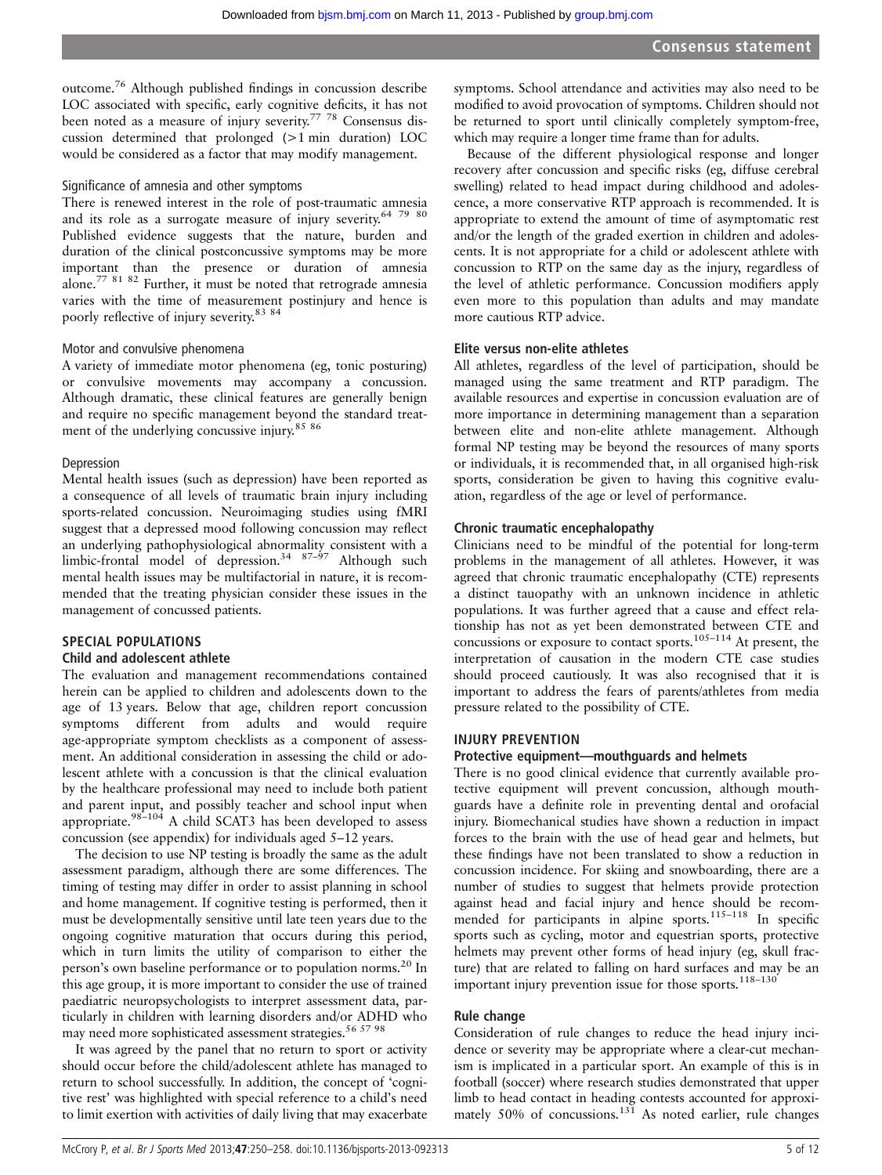outcome.<sup>76</sup> Although published findings in concussion describe LOC associated with specific, early cognitive deficits, it has not been noted as a measure of injury severity.<sup>77</sup> <sup>78</sup> Consensus discussion determined that prolonged (>1 min duration) LOC would be considered as a factor that may modify management.

#### Significance of amnesia and other symptoms

There is renewed interest in the role of post-traumatic amnesia and its role as a surrogate measure of injury severity.<sup>64</sup> 79 80 Published evidence suggests that the nature, burden and duration of the clinical postconcussive symptoms may be more important than the presence or duration of amnesia alone.77 81 82 Further, it must be noted that retrograde amnesia varies with the time of measurement postinjury and hence is poorly reflective of injury severity.83 84

#### Motor and convulsive phenomena

A variety of immediate motor phenomena (eg, tonic posturing) or convulsive movements may accompany a concussion. Although dramatic, these clinical features are generally benign and require no specific management beyond the standard treatment of the underlying concussive injury.<sup>85 86</sup>

#### Depression

Mental health issues (such as depression) have been reported as a consequence of all levels of traumatic brain injury including sports-related concussion. Neuroimaging studies using fMRI suggest that a depressed mood following concussion may reflect an underlying pathophysiological abnormality consistent with a limbic-frontal model of depression.<sup>34</sup>  $87-\frac{97}{7}$  Although such mental health issues may be multifactorial in nature, it is recommended that the treating physician consider these issues in the management of concussed patients.

## SPECIAL POPULATIONS

## Child and adolescent athlete

The evaluation and management recommendations contained herein can be applied to children and adolescents down to the age of 13 years. Below that age, children report concussion symptoms different from adults and would require age-appropriate symptom checklists as a component of assessment. An additional consideration in assessing the child or adolescent athlete with a concussion is that the clinical evaluation by the healthcare professional may need to include both patient and parent input, and possibly teacher and school input when appropriate.<sup>98-104</sup> A child SCAT3 has been developed to assess concussion (see appendix) for individuals aged 5–12 years.

The decision to use NP testing is broadly the same as the adult assessment paradigm, although there are some differences. The timing of testing may differ in order to assist planning in school and home management. If cognitive testing is performed, then it must be developmentally sensitive until late teen years due to the ongoing cognitive maturation that occurs during this period, which in turn limits the utility of comparison to either the person's own baseline performance or to population norms.<sup>20</sup> In this age group, it is more important to consider the use of trained paediatric neuropsychologists to interpret assessment data, particularly in children with learning disorders and/or ADHD who may need more sophisticated assessment strategies.<sup>56 57 98</sup>

It was agreed by the panel that no return to sport or activity should occur before the child/adolescent athlete has managed to return to school successfully. In addition, the concept of 'cognitive rest' was highlighted with special reference to a child's need to limit exertion with activities of daily living that may exacerbate

symptoms. School attendance and activities may also need to be modified to avoid provocation of symptoms. Children should not be returned to sport until clinically completely symptom-free, which may require a longer time frame than for adults.

Because of the different physiological response and longer recovery after concussion and specific risks (eg, diffuse cerebral swelling) related to head impact during childhood and adolescence, a more conservative RTP approach is recommended. It is appropriate to extend the amount of time of asymptomatic rest and/or the length of the graded exertion in children and adolescents. It is not appropriate for a child or adolescent athlete with concussion to RTP on the same day as the injury, regardless of the level of athletic performance. Concussion modifiers apply even more to this population than adults and may mandate more cautious RTP advice.

#### Elite versus non-elite athletes

All athletes, regardless of the level of participation, should be managed using the same treatment and RTP paradigm. The available resources and expertise in concussion evaluation are of more importance in determining management than a separation between elite and non-elite athlete management. Although formal NP testing may be beyond the resources of many sports or individuals, it is recommended that, in all organised high-risk sports, consideration be given to having this cognitive evaluation, regardless of the age or level of performance.

#### Chronic traumatic encephalopathy

Clinicians need to be mindful of the potential for long-term problems in the management of all athletes. However, it was agreed that chronic traumatic encephalopathy (CTE) represents a distinct tauopathy with an unknown incidence in athletic populations. It was further agreed that a cause and effect relationship has not as yet been demonstrated between CTE and concussions or exposure to contact sports.<sup>105–114</sup> At present, the interpretation of causation in the modern CTE case studies should proceed cautiously. It was also recognised that it is important to address the fears of parents/athletes from media pressure related to the possibility of CTE.

#### INJURY PREVENTION

#### Protective equipment—mouthguards and helmets

There is no good clinical evidence that currently available protective equipment will prevent concussion, although mouthguards have a definite role in preventing dental and orofacial injury. Biomechanical studies have shown a reduction in impact forces to the brain with the use of head gear and helmets, but these findings have not been translated to show a reduction in concussion incidence. For skiing and snowboarding, there are a number of studies to suggest that helmets provide protection against head and facial injury and hence should be recommended for participants in alpine sports. $115-118$  In specific sports such as cycling, motor and equestrian sports, protective helmets may prevent other forms of head injury (eg, skull fracture) that are related to falling on hard surfaces and may be an important injury prevention issue for those sports. $118-130$ 

#### Rule change

Consideration of rule changes to reduce the head injury incidence or severity may be appropriate where a clear-cut mechanism is implicated in a particular sport. An example of this is in football (soccer) where research studies demonstrated that upper limb to head contact in heading contests accounted for approximately 50% of concussions.<sup>131</sup> As noted earlier, rule changes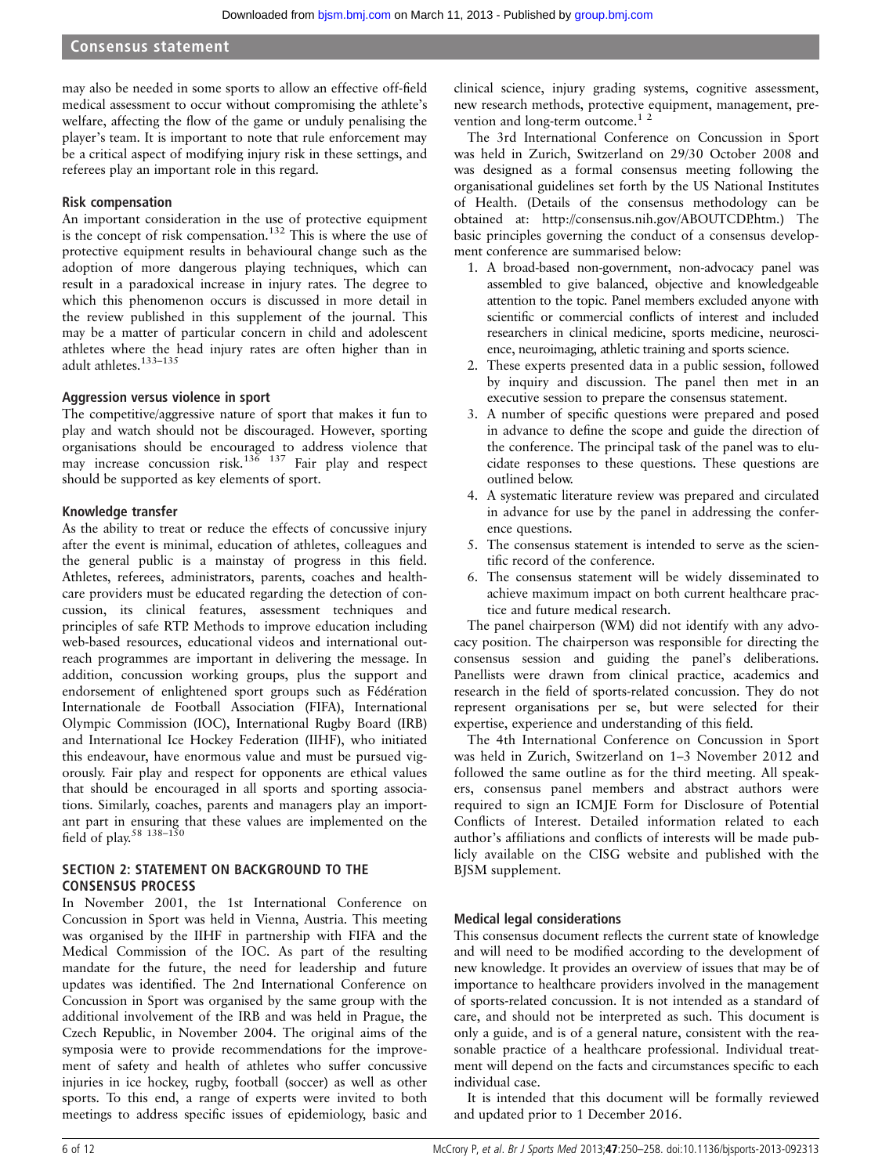may also be needed in some sports to allow an effective off-field medical assessment to occur without compromising the athlete's welfare, affecting the flow of the game or unduly penalising the player's team. It is important to note that rule enforcement may be a critical aspect of modifying injury risk in these settings, and referees play an important role in this regard.

#### Risk compensation

An important consideration in the use of protective equipment is the concept of risk compensation.<sup>132</sup> This is where the use of protective equipment results in behavioural change such as the adoption of more dangerous playing techniques, which can result in a paradoxical increase in injury rates. The degree to which this phenomenon occurs is discussed in more detail in the review published in this supplement of the journal. This may be a matter of particular concern in child and adolescent athletes where the head injury rates are often higher than in adult athletes.<sup>133-135</sup>

## Aggression versus violence in sport

The competitive/aggressive nature of sport that makes it fun to play and watch should not be discouraged. However, sporting organisations should be encouraged to address violence that may increase concussion risk.<sup>136 137</sup> Fair play and respect should be supported as key elements of sport.

#### Knowledge transfer

As the ability to treat or reduce the effects of concussive injury after the event is minimal, education of athletes, colleagues and the general public is a mainstay of progress in this field. Athletes, referees, administrators, parents, coaches and healthcare providers must be educated regarding the detection of concussion, its clinical features, assessment techniques and principles of safe RTP. Methods to improve education including web-based resources, educational videos and international outreach programmes are important in delivering the message. In addition, concussion working groups, plus the support and endorsement of enlightened sport groups such as Fédération Internationale de Football Association (FIFA), International Olympic Commission (IOC), International Rugby Board (IRB) and International Ice Hockey Federation (IIHF), who initiated this endeavour, have enormous value and must be pursued vigorously. Fair play and respect for opponents are ethical values that should be encouraged in all sports and sporting associations. Similarly, coaches, parents and managers play an important part in ensuring that these values are implemented on the field of play.<sup>58 138-150</sup>

#### SECTION 2: STATEMENT ON BACKGROUND TO THE CONSENSUS PROCESS

In November 2001, the 1st International Conference on Concussion in Sport was held in Vienna, Austria. This meeting was organised by the IIHF in partnership with FIFA and the Medical Commission of the IOC. As part of the resulting mandate for the future, the need for leadership and future updates was identified. The 2nd International Conference on Concussion in Sport was organised by the same group with the additional involvement of the IRB and was held in Prague, the Czech Republic, in November 2004. The original aims of the symposia were to provide recommendations for the improvement of safety and health of athletes who suffer concussive injuries in ice hockey, rugby, football (soccer) as well as other sports. To this end, a range of experts were invited to both meetings to address specific issues of epidemiology, basic and clinical science, injury grading systems, cognitive assessment, new research methods, protective equipment, management, prevention and long-term outcome.<sup>1</sup> <sup>2</sup>

The 3rd International Conference on Concussion in Sport was held in Zurich, Switzerland on 29/30 October 2008 and was designed as a formal consensus meeting following the organisational guidelines set forth by the US National Institutes of Health. (Details of the consensus methodology can be obtained at: [http://consensus.nih.gov/ABOUTCDP.htm.\)](http://consensus.nih.gov/ABOUTCDP.htm.) The basic principles governing the conduct of a consensus development conference are summarised below:

- 1. A broad-based non-government, non-advocacy panel was assembled to give balanced, objective and knowledgeable attention to the topic. Panel members excluded anyone with scientific or commercial conflicts of interest and included researchers in clinical medicine, sports medicine, neuroscience, neuroimaging, athletic training and sports science.
- 2. These experts presented data in a public session, followed by inquiry and discussion. The panel then met in an executive session to prepare the consensus statement.
- 3. A number of specific questions were prepared and posed in advance to define the scope and guide the direction of the conference. The principal task of the panel was to elucidate responses to these questions. These questions are outlined below.
- 4. A systematic literature review was prepared and circulated in advance for use by the panel in addressing the conference questions.
- 5. The consensus statement is intended to serve as the scientific record of the conference.
- 6. The consensus statement will be widely disseminated to achieve maximum impact on both current healthcare practice and future medical research.

The panel chairperson (WM) did not identify with any advocacy position. The chairperson was responsible for directing the consensus session and guiding the panel's deliberations. Panellists were drawn from clinical practice, academics and research in the field of sports-related concussion. They do not represent organisations per se, but were selected for their expertise, experience and understanding of this field.

The 4th International Conference on Concussion in Sport was held in Zurich, Switzerland on 1–3 November 2012 and followed the same outline as for the third meeting. All speakers, consensus panel members and abstract authors were required to sign an ICMJE Form for Disclosure of Potential Conflicts of Interest. Detailed information related to each author's affiliations and conflicts of interests will be made publicly available on the CISG website and published with the BJSM supplement.

## Medical legal considerations

This consensus document reflects the current state of knowledge and will need to be modified according to the development of new knowledge. It provides an overview of issues that may be of importance to healthcare providers involved in the management of sports-related concussion. It is not intended as a standard of care, and should not be interpreted as such. This document is only a guide, and is of a general nature, consistent with the reasonable practice of a healthcare professional. Individual treatment will depend on the facts and circumstances specific to each individual case.

It is intended that this document will be formally reviewed and updated prior to 1 December 2016.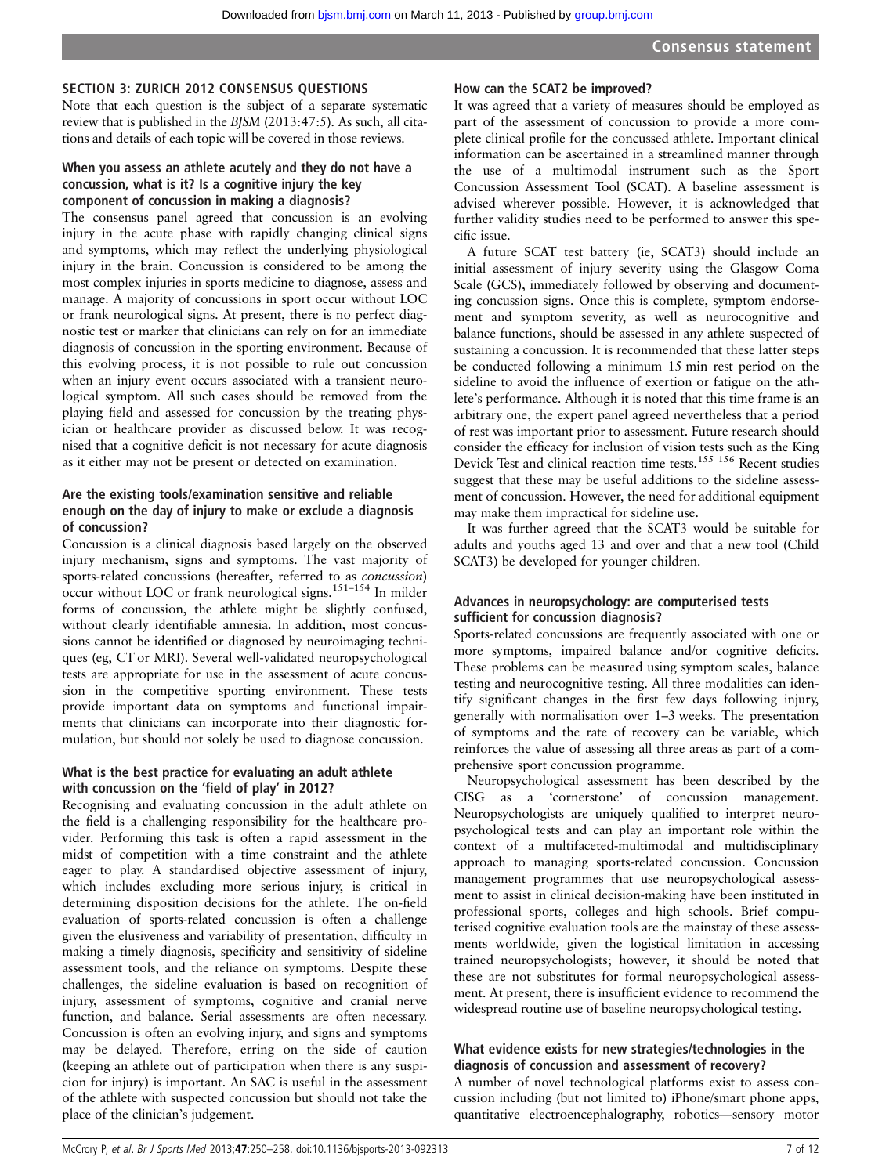# SECTION 3: ZURICH 2012 CONSENSUS QUESTIONS

Note that each question is the subject of a separate systematic review that is published in the BJSM (2013:47:5). As such, all citations and details of each topic will be covered in those reviews.

# When you assess an athlete acutely and they do not have a concussion, what is it? Is a cognitive injury the key component of concussion in making a diagnosis?

The consensus panel agreed that concussion is an evolving injury in the acute phase with rapidly changing clinical signs and symptoms, which may reflect the underlying physiological injury in the brain. Concussion is considered to be among the most complex injuries in sports medicine to diagnose, assess and manage. A majority of concussions in sport occur without LOC or frank neurological signs. At present, there is no perfect diagnostic test or marker that clinicians can rely on for an immediate diagnosis of concussion in the sporting environment. Because of this evolving process, it is not possible to rule out concussion when an injury event occurs associated with a transient neurological symptom. All such cases should be removed from the playing field and assessed for concussion by the treating physician or healthcare provider as discussed below. It was recognised that a cognitive deficit is not necessary for acute diagnosis as it either may not be present or detected on examination.

# Are the existing tools/examination sensitive and reliable enough on the day of injury to make or exclude a diagnosis of concussion?

Concussion is a clinical diagnosis based largely on the observed injury mechanism, signs and symptoms. The vast majority of sports-related concussions (hereafter, referred to as concussion) occur without LOC or frank neurological signs.<sup>151–154</sup> In milder forms of concussion, the athlete might be slightly confused, without clearly identifiable amnesia. In addition, most concussions cannot be identified or diagnosed by neuroimaging techniques (eg, CT or MRI). Several well-validated neuropsychological tests are appropriate for use in the assessment of acute concussion in the competitive sporting environment. These tests provide important data on symptoms and functional impairments that clinicians can incorporate into their diagnostic formulation, but should not solely be used to diagnose concussion.

# What is the best practice for evaluating an adult athlete with concussion on the 'field of play' in 2012?

Recognising and evaluating concussion in the adult athlete on the field is a challenging responsibility for the healthcare provider. Performing this task is often a rapid assessment in the midst of competition with a time constraint and the athlete eager to play. A standardised objective assessment of injury, which includes excluding more serious injury, is critical in determining disposition decisions for the athlete. The on-field evaluation of sports-related concussion is often a challenge given the elusiveness and variability of presentation, difficulty in making a timely diagnosis, specificity and sensitivity of sideline assessment tools, and the reliance on symptoms. Despite these challenges, the sideline evaluation is based on recognition of injury, assessment of symptoms, cognitive and cranial nerve function, and balance. Serial assessments are often necessary. Concussion is often an evolving injury, and signs and symptoms may be delayed. Therefore, erring on the side of caution (keeping an athlete out of participation when there is any suspicion for injury) is important. An SAC is useful in the assessment of the athlete with suspected concussion but should not take the place of the clinician's judgement.

# How can the SCAT2 be improved?

It was agreed that a variety of measures should be employed as part of the assessment of concussion to provide a more complete clinical profile for the concussed athlete. Important clinical information can be ascertained in a streamlined manner through the use of a multimodal instrument such as the Sport Concussion Assessment Tool (SCAT). A baseline assessment is advised wherever possible. However, it is acknowledged that further validity studies need to be performed to answer this specific issue.

A future SCAT test battery (ie, SCAT3) should include an initial assessment of injury severity using the Glasgow Coma Scale (GCS), immediately followed by observing and documenting concussion signs. Once this is complete, symptom endorsement and symptom severity, as well as neurocognitive and balance functions, should be assessed in any athlete suspected of sustaining a concussion. It is recommended that these latter steps be conducted following a minimum 15 min rest period on the sideline to avoid the influence of exertion or fatigue on the athlete's performance. Although it is noted that this time frame is an arbitrary one, the expert panel agreed nevertheless that a period of rest was important prior to assessment. Future research should consider the efficacy for inclusion of vision tests such as the King Devick Test and clinical reaction time tests.<sup>155</sup> 156 Recent studies suggest that these may be useful additions to the sideline assessment of concussion. However, the need for additional equipment may make them impractical for sideline use.

It was further agreed that the SCAT3 would be suitable for adults and youths aged 13 and over and that a new tool (Child SCAT3) be developed for younger children.

# Advances in neuropsychology: are computerised tests sufficient for concussion diagnosis?

Sports-related concussions are frequently associated with one or more symptoms, impaired balance and/or cognitive deficits. These problems can be measured using symptom scales, balance testing and neurocognitive testing. All three modalities can identify significant changes in the first few days following injury, generally with normalisation over 1–3 weeks. The presentation of symptoms and the rate of recovery can be variable, which reinforces the value of assessing all three areas as part of a comprehensive sport concussion programme.

Neuropsychological assessment has been described by the CISG as a 'cornerstone' of concussion management. Neuropsychologists are uniquely qualified to interpret neuropsychological tests and can play an important role within the context of a multifaceted-multimodal and multidisciplinary approach to managing sports-related concussion. Concussion management programmes that use neuropsychological assessment to assist in clinical decision-making have been instituted in professional sports, colleges and high schools. Brief computerised cognitive evaluation tools are the mainstay of these assessments worldwide, given the logistical limitation in accessing trained neuropsychologists; however, it should be noted that these are not substitutes for formal neuropsychological assessment. At present, there is insufficient evidence to recommend the widespread routine use of baseline neuropsychological testing.

# What evidence exists for new strategies/technologies in the diagnosis of concussion and assessment of recovery?

A number of novel technological platforms exist to assess concussion including (but not limited to) iPhone/smart phone apps, quantitative electroencephalography, robotics—sensory motor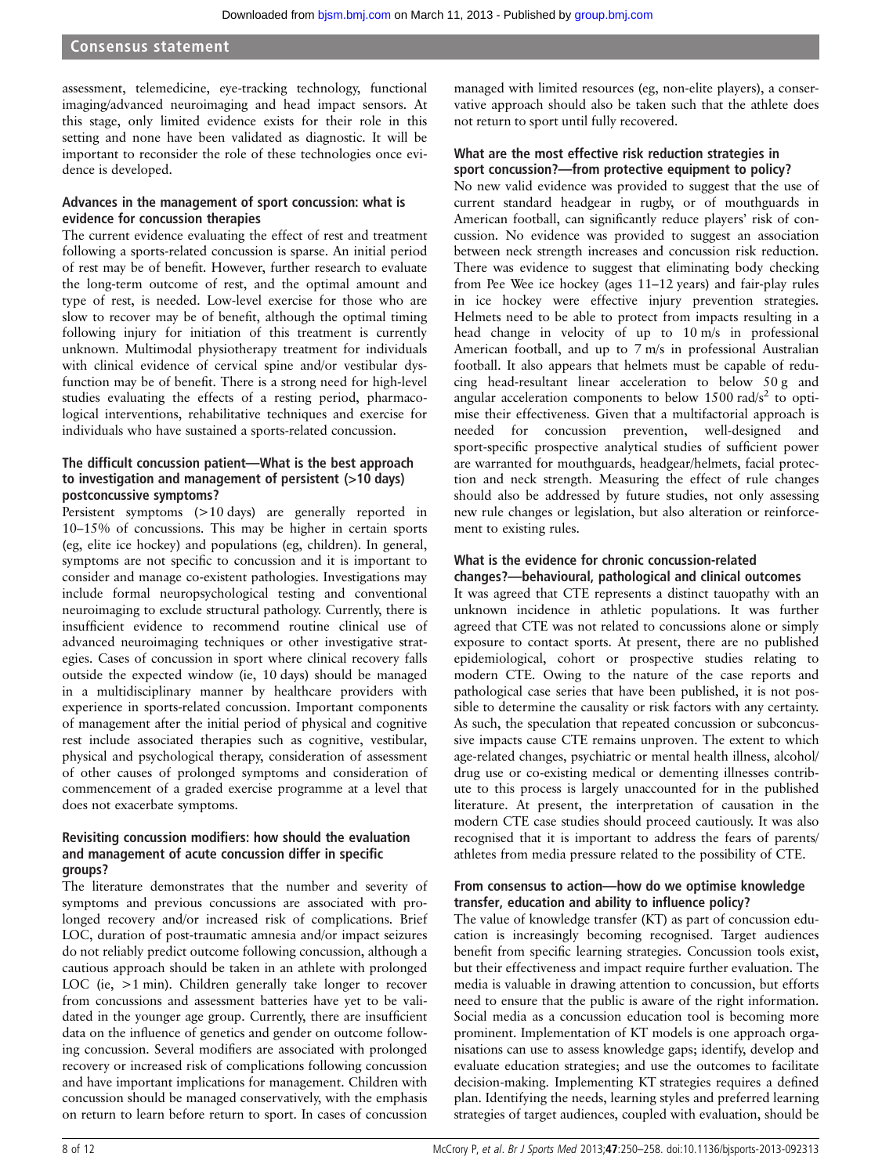assessment, telemedicine, eye-tracking technology, functional imaging/advanced neuroimaging and head impact sensors. At this stage, only limited evidence exists for their role in this setting and none have been validated as diagnostic. It will be important to reconsider the role of these technologies once evidence is developed.

## Advances in the management of sport concussion: what is evidence for concussion therapies

The current evidence evaluating the effect of rest and treatment following a sports-related concussion is sparse. An initial period of rest may be of benefit. However, further research to evaluate the long-term outcome of rest, and the optimal amount and type of rest, is needed. Low-level exercise for those who are slow to recover may be of benefit, although the optimal timing following injury for initiation of this treatment is currently unknown. Multimodal physiotherapy treatment for individuals with clinical evidence of cervical spine and/or vestibular dysfunction may be of benefit. There is a strong need for high-level studies evaluating the effects of a resting period, pharmacological interventions, rehabilitative techniques and exercise for individuals who have sustained a sports-related concussion.

#### The difficult concussion patient—What is the best approach to investigation and management of persistent (>10 days) postconcussive symptoms?

Persistent symptoms (>10 days) are generally reported in 10–15% of concussions. This may be higher in certain sports (eg, elite ice hockey) and populations (eg, children). In general, symptoms are not specific to concussion and it is important to consider and manage co-existent pathologies. Investigations may include formal neuropsychological testing and conventional neuroimaging to exclude structural pathology. Currently, there is insufficient evidence to recommend routine clinical use of advanced neuroimaging techniques or other investigative strategies. Cases of concussion in sport where clinical recovery falls outside the expected window (ie, 10 days) should be managed in a multidisciplinary manner by healthcare providers with experience in sports-related concussion. Important components of management after the initial period of physical and cognitive rest include associated therapies such as cognitive, vestibular, physical and psychological therapy, consideration of assessment of other causes of prolonged symptoms and consideration of commencement of a graded exercise programme at a level that does not exacerbate symptoms.

# Revisiting concussion modifiers: how should the evaluation and management of acute concussion differ in specific groups?

The literature demonstrates that the number and severity of symptoms and previous concussions are associated with prolonged recovery and/or increased risk of complications. Brief LOC, duration of post-traumatic amnesia and/or impact seizures do not reliably predict outcome following concussion, although a cautious approach should be taken in an athlete with prolonged LOC (ie, >1 min). Children generally take longer to recover from concussions and assessment batteries have yet to be validated in the younger age group. Currently, there are insufficient data on the influence of genetics and gender on outcome following concussion. Several modifiers are associated with prolonged recovery or increased risk of complications following concussion and have important implications for management. Children with concussion should be managed conservatively, with the emphasis on return to learn before return to sport. In cases of concussion

managed with limited resources (eg, non-elite players), a conservative approach should also be taken such that the athlete does not return to sport until fully recovered.

# What are the most effective risk reduction strategies in sport concussion?—from protective equipment to policy?

No new valid evidence was provided to suggest that the use of current standard headgear in rugby, or of mouthguards in American football, can significantly reduce players' risk of concussion. No evidence was provided to suggest an association between neck strength increases and concussion risk reduction. There was evidence to suggest that eliminating body checking from Pee Wee ice hockey (ages 11–12 years) and fair-play rules in ice hockey were effective injury prevention strategies. Helmets need to be able to protect from impacts resulting in a head change in velocity of up to 10 m/s in professional American football, and up to 7 m/s in professional Australian football. It also appears that helmets must be capable of reducing head-resultant linear acceleration to below 50 g and angular acceleration components to below  $1500 \text{ rad/s}^2$  to optimise their effectiveness. Given that a multifactorial approach is needed for concussion prevention, well-designed and sport-specific prospective analytical studies of sufficient power are warranted for mouthguards, headgear/helmets, facial protection and neck strength. Measuring the effect of rule changes should also be addressed by future studies, not only assessing new rule changes or legislation, but also alteration or reinforcement to existing rules.

#### What is the evidence for chronic concussion-related changes?—behavioural, pathological and clinical outcomes

It was agreed that CTE represents a distinct tauopathy with an unknown incidence in athletic populations. It was further agreed that CTE was not related to concussions alone or simply exposure to contact sports. At present, there are no published epidemiological, cohort or prospective studies relating to modern CTE. Owing to the nature of the case reports and pathological case series that have been published, it is not possible to determine the causality or risk factors with any certainty. As such, the speculation that repeated concussion or subconcussive impacts cause CTE remains unproven. The extent to which age-related changes, psychiatric or mental health illness, alcohol/ drug use or co-existing medical or dementing illnesses contribute to this process is largely unaccounted for in the published literature. At present, the interpretation of causation in the modern CTE case studies should proceed cautiously. It was also recognised that it is important to address the fears of parents/ athletes from media pressure related to the possibility of CTE.

# From consensus to action—how do we optimise knowledge transfer, education and ability to influence policy?

The value of knowledge transfer (KT) as part of concussion education is increasingly becoming recognised. Target audiences benefit from specific learning strategies. Concussion tools exist, but their effectiveness and impact require further evaluation. The media is valuable in drawing attention to concussion, but efforts need to ensure that the public is aware of the right information. Social media as a concussion education tool is becoming more prominent. Implementation of KT models is one approach organisations can use to assess knowledge gaps; identify, develop and evaluate education strategies; and use the outcomes to facilitate decision-making. Implementing KT strategies requires a defined plan. Identifying the needs, learning styles and preferred learning strategies of target audiences, coupled with evaluation, should be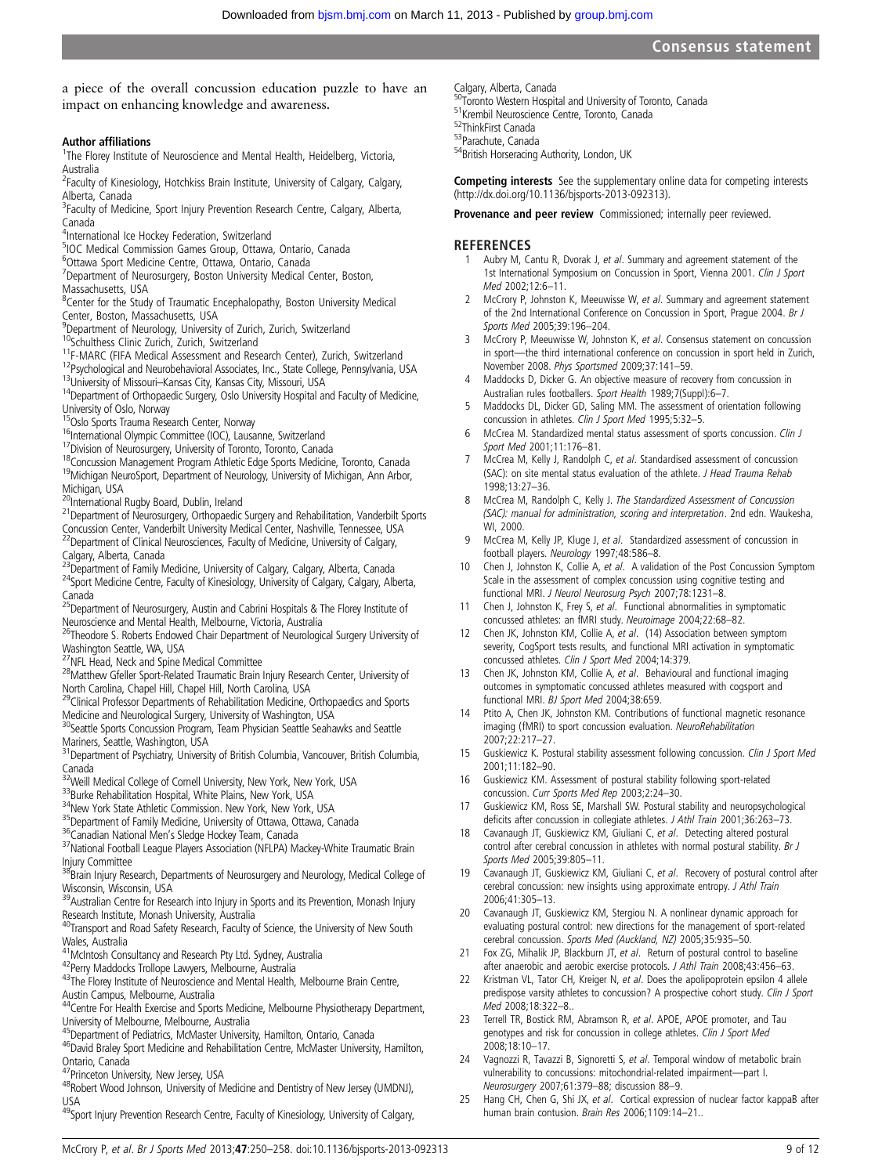a piece of the overall concussion education puzzle to have an impact on enhancing knowledge and awareness.

#### Author affiliations <sup>1</sup>

<sup>1</sup>The Florey Institute of Neuroscience and Mental Health, Heidelberg, Victoria, Australia

<sup>2</sup> Faculty of Kinesiology, Hotchkiss Brain Institute, University of Calgary, Calgary, Alberta, Canada

<sup>3</sup> Faculty of Medicine, Sport Injury Prevention Research Centre, Calgary, Alberta, Canada

4 International Ice Hockey Federation, Switzerland

<sup>5</sup>IOC Medical Commission Games Group, Ottawa, Ontario, Canada

6 Ottawa Sport Medicine Centre, Ottawa, Ontario, Canada

<sup>7</sup> Department of Neurosurgery, Boston University Medical Center, Boston, Massachusetts, USA

<sup>8</sup> Center for the Study of Traumatic Encephalopathy, Boston University Medical Center, Boston, Massachusetts, USA

<sup>9</sup>Department of Neurology, University of Zurich, Zurich, Switzerland

<sup>11</sup>F-MARC (FIFA Medical Assessment and Research Center), Zurich, Switzerland<br><sup>12</sup>Psychological and Neurobehavioral Associates, Inc., State College, Pennsylvania, USA<br><sup>13</sup>University of Missouri–Kansas City, Kansas City, M

University of Oslo, Norway<br><sup>15</sup>Oslo Sports Trauma Research Center, Norway

<sup>16</sup>International Olympic Committee (IOC), Lausanne, Switzerland<br><sup>17</sup> Division of Neurosurgery, University of Toronto, Toronto, Canada<br><sup>18</sup> Concussion Management Program Athletic Edge Sports Medicine, Toronto, Canada<br><sup>19</sup>

Michigan, USA<br><sup>20</sup>International Rugby Board, Dublin, Ireland

<sup>21</sup>Department of Neurosurgery, Orthopaedic Surgery and Rehabilitation, Vanderbilt Sports Concussion Center, Vanderbilt University Medical Center, Nashville, Tennessee, USA

<sup>22</sup> Department of Clinical Neurosciences, Faculty of Medicine, University of Calgary, Calgary, Alberta, Canada<br><sup>23</sup> Department of Family Medicine, University of Calgary, Calgary, Alberta, Canada

<sup>24</sup>Sport Medicine Centre, Faculty of Kinesiology, University of Calgary, Calgary, Alberta, Canada

<sup>25</sup>Department of Neurosurgery, Austin and Cabrini Hospitals & The Florey Institute of Neuroscience and Mental Health, Melbourne, Victoria, Australia

<sup>26</sup>Theodore S. Roberts Endowed Chair Department of Neurological Surgery University of Washington Seattle, WA, USA<br><sup>27</sup>NFL Head, Neck and Spine Medical Committee

<sup>28</sup>Matthew Gfeller Sport-Related Traumatic Brain Injury Research Center, University of North Carolina, Chapel Hill, Chapel Hill, North Carolina, USA

<sup>29</sup>Clinical Professor Departments of Rehabilitation Medicine, Orthopaedics and Sports Medicine and Neurological Surgery, University of Washington, USA

<sup>30</sup> Seattle Sports Concussion Program, Team Physician Seattle Seahawks and Seattle Mariners, Seattle, Washington, USA

<sup>31</sup> Department of Psychiatry, University of British Columbia, Vancouver, British Columbia,

Canada<br><sup>32</sup>Weill Medical College of Cornell University, New York, New York, USA

<sup>33</sup>Burke Rehabilitation Hospital, White Plains, New York, USA<br><sup>34</sup>New York State Athletic Commission. New York, New York, USA<br><sup>35</sup>Department of Family Medicine, University of Ottawa, Ottawa, Canada<br><sup>36</sup>Canadian National Injury Committee

<sup>38</sup>Brain Injury Research, Departments of Neurosurgery and Neurology, Medical College of Wisconsin, Wisconsin, USA

<sup>39</sup> Australian Centre for Research into Injury in Sports and its Prevention, Monash Injury

Research Institute, Monash University, Australia<br><sup>40</sup>Transport and Road Safety Research, Faculty of Science, the University of New South Wales, Australia<br><sup>41</sup> McIntosh Consultancy and Research Pty Ltd. Sydney, Australia

<sup>42</sup> Perry Maddocks Trollope Lawyers, Melbourne, Australia  $^{42}$  Perry Maddocks Trollope Lawyers, Melbourne, Australia 43The Florey Institute of Neuroscience and Mental Health, Melbourne Brain Centre,

Austin Campus, Melbourne, Australia<br><sup>44</sup>Centre For Health Exercise and Sports Medicine, Melbourne Physiotherapy Department,

University of Melbourne, Melbourne, Australia<br><sup>45</sup>Department of Pediatrics, McMaster University, Hamilton, Ontario, Canada

<sup>46</sup>David Braley Sport Medicine and Rehabilitation Centre, McMaster University, Hamilton,

Ontario, Canada<br><sup>47</sup> Princeton University, New Jersey, USA

48Robert Wood Johnson, University of Medicine and Dentistry of New Jersey (UMDNJ), USA

<sup>49</sup>Sport Injury Prevention Research Centre, Faculty of Kinesiology, University of Calgary,

Calgary, Alberta, Canada<br><sup>50</sup>Toronto Western Hospital and University of Toronto, Canada

<sup>51</sup>Krembil Neuroscience Centre, Toronto, Canada <sup>52</sup>ThinkFirst Canada<br><sup>53</sup>Parachute, Canada 53Parachute, Canada 54British Horseracing Authority, London, UK

Competing interests See the supplementary online data for competing interests (http://dx.doi.org/10.1136/bjsports-2013-092313).

Provenance and peer review Commissioned: internally peer reviewed.

#### **REFERENCES**

- 1 Aubry M, Cantu R, Dvorak J, et al. Summary and agreement statement of the 1st International Symposium on Concussion in Sport, Vienna 2001. Clin J Sport Med 2002;12:6–11.
- 2 McCrory P, Johnston K, Meeuwisse W, et al. Summary and agreement statement of the 2nd International Conference on Concussion in Sport, Prague 2004. Br J Sports Med 2005;39:196–204.
- 3 McCrory P, Meeuwisse W, Johnston K, et al. Consensus statement on concussion in sport—the third international conference on concussion in sport held in Zurich, November 2008. Phys Sportsmed 2009;37:141–59.
- 4 Maddocks D, Dicker G. An objective measure of recovery from concussion in Australian rules footballers. Sport Health 1989;7(Suppl):6-7.
- 5 Maddocks DL, Dicker GD, Saling MM. The assessment of orientation following concussion in athletes. Clin J Sport Med 1995;5:32-5.
- 6 McCrea M. Standardized mental status assessment of sports concussion. Clin J Sport Med 2001;11:176-81.
- 7 McCrea M, Kelly J, Randolph C, et al. Standardised assessment of concussion (SAC): on site mental status evaluation of the athlete. J Head Trauma Rehab 1998;13:27–36.
- 8 McCrea M, Randolph C, Kelly J. The Standardized Assessment of Concussion (SAC): manual for administration, scoring and interpretation. 2nd edn. Waukesha, WI, 2000.
- 9 McCrea M, Kelly JP, Kluge J, et al. Standardized assessment of concussion in football players. Neurology 1997;48:586–8.
- 10 Chen J, Johnston K, Collie A, et al. A validation of the Post Concussion Symptom Scale in the assessment of complex concussion using cognitive testing and functional MRI. J Neurol Neurosurg Psych 2007;78:1231–8.
- 11 Chen J, Johnston K, Frey S, et al. Functional abnormalities in symptomatic concussed athletes: an fMRI study. Neuroimage 2004;22:68–82.
- 12 Chen JK, Johnston KM, Collie A, et al. (14) Association between symptom severity, CogSport tests results, and functional MRI activation in symptomatic concussed athletes. Clin J Sport Med 2004;14:379.
- 13 Chen JK, Johnston KM, Collie A, et al. Behavioural and functional imaging outcomes in symptomatic concussed athletes measured with cogsport and functional MRI. BJ Sport Med 2004;38:659.
- 14 Ptito A, Chen JK, Johnston KM. Contributions of functional magnetic resonance imaging (fMRI) to sport concussion evaluation. NeuroRehabilitation 2007;22:217–27.
- 15 Guskiewicz K. Postural stability assessment following concussion. Clin J Sport Med 2001;11:182–90.
- 16 Guskiewicz KM. Assessment of postural stability following sport-related concussion. Curr Sports Med Rep 2003;2:24–30.
- 17 Guskiewicz KM, Ross SE, Marshall SW. Postural stability and neuropsychological deficits after concussion in collegiate athletes. J Athl Train 2001;36:263–73.
- 18 Cavanaugh JT, Guskiewicz KM, Giuliani C, et al. Detecting altered postural control after cerebral concussion in athletes with normal postural stability. Br J Sports Med 2005;39:805–11.
- 19 Cavanaugh JT, Guskiewicz KM, Giuliani C, et al. Recovery of postural control after cerebral concussion: new insights using approximate entropy. J Athl Train 2006;41:305–13.
- 20 Cavanaugh JT, Guskiewicz KM, Stergiou N. A nonlinear dynamic approach for evaluating postural control: new directions for the management of sport-related cerebral concussion. Sports Med (Auckland, NZ) 2005;35:935–50.
- 21 Fox ZG, Mihalik JP, Blackburn JT, et al. Return of postural control to baseline after anaerobic and aerobic exercise protocols. J Athl Train 2008;43:456–63.
- 22 Kristman VL, Tator CH, Kreiger N, et al. Does the apolipoprotein epsilon 4 allele predispose varsity athletes to concussion? A prospective cohort study. Clin J Sport Med 2008;18:322–8..
- 23 Terrell TR, Bostick RM, Abramson R, et al. APOE, APOE promoter, and Tau genotypes and risk for concussion in college athletes. Clin J Sport Med 2008;18:10–17.
- 24 Vagnozzi R, Tavazzi B, Signoretti S, et al. Temporal window of metabolic brain vulnerability to concussions: mitochondrial-related impairment—part I. Neurosurgery 2007;61:379–88; discussion 88–9.
- 25 Hang CH, Chen G, Shi JX, et al. Cortical expression of nuclear factor kappaB after human brain contusion. Brain Res 2006;1109:14-21..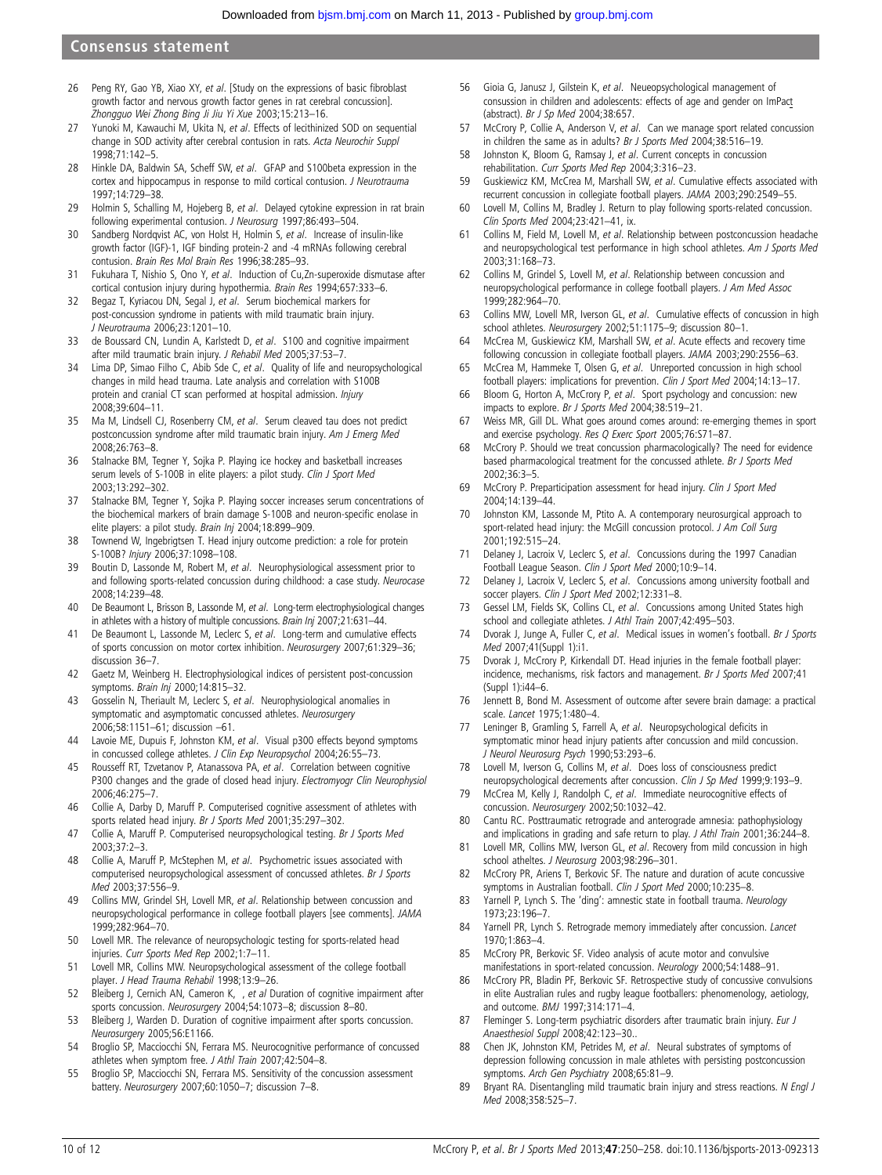- 26 Peng RY, Gao YB, Xiao XY, et al. [Study on the expressions of basic fibroblast growth factor and nervous growth factor genes in rat cerebral concussion]. Zhongguo Wei Zhong Bing Ji Jiu Yi Xue 2003;15:213–16.
- 27 Yunoki M, Kawauchi M, Ukita N, et al. Effects of lecithinized SOD on sequential change in SOD activity after cerebral contusion in rats. Acta Neurochir Suppl 1998;71:142–5.
- Hinkle DA, Baldwin SA, Scheff SW, et al. GFAP and S100beta expression in the cortex and hippocampus in response to mild cortical contusion. J Neurotrauma 1997;14:729–38.
- 29 Holmin S, Schalling M, Hojeberg B, et al. Delayed cytokine expression in rat brain following experimental contusion. J Neurosurg 1997;86:493–504.
- 30 Sandberg Nordqvist AC, von Holst H, Holmin S, et al. Increase of insulin-like growth factor (IGF)-1, IGF binding protein-2 and -4 mRNAs following cerebral contusion. Brain Res Mol Brain Res 1996;38:285–93.
- 31 Fukuhara T, Nishio S, Ono Y, et al. Induction of Cu,Zn-superoxide dismutase after cortical contusion injury during hypothermia. Brain Res 1994;657:333–6.
- 32 Begaz T, Kyriacou DN, Segal J, et al. Serum biochemical markers for post-concussion syndrome in patients with mild traumatic brain injury. J Neurotrauma 2006;23:1201–10.
- 33 de Boussard CN, Lundin A, Karlstedt D, et al. S100 and cognitive impairment after mild traumatic brain injury. J Rehabil Med 2005;37:53–7.
- Lima DP, Simao Filho C, Abib Sde C, et al. Quality of life and neuropsychological changes in mild head trauma. Late analysis and correlation with S100B protein and cranial CT scan performed at hospital admission. Injury 2008;39:604–11.
- 35 Ma M, Lindsell CJ, Rosenberry CM, et al. Serum cleaved tau does not predict postconcussion syndrome after mild traumatic brain injury. Am J Emerg Med 2008;26:763–8.
- 36 Stalnacke BM, Tegner Y, Sojka P. Playing ice hockey and basketball increases serum levels of S-100B in elite players: a pilot study. Clin J Sport Med 2003;13:292–302.
- 37 Stalnacke BM, Tegner Y, Sojka P. Playing soccer increases serum concentrations of the biochemical markers of brain damage S-100B and neuron-specific enolase in elite players: a pilot study. Brain Inj 2004;18:899–909.
- 38 Townend W, Ingebrigtsen T. Head injury outcome prediction: a role for protein S-100B? Injury 2006;37:1098–108.
- 39 Boutin D, Lassonde M, Robert M, et al. Neurophysiological assessment prior to and following sports-related concussion during childhood: a case study. Neurocase 2008;14:239–48.
- 40 De Beaumont L, Brisson B, Lassonde M, et al. Long-term electrophysiological changes in athletes with a history of multiple concussions. Brain Inj 2007;21:631-44.
- De Beaumont L, Lassonde M, Leclerc S, et al. Long-term and cumulative effects of sports concussion on motor cortex inhibition. Neurosurgery 2007;61:329–36; discussion 36–7.
- 42 Gaetz M, Weinberg H. Electrophysiological indices of persistent post-concussion symptoms. Brain Inj 2000;14:815-32.
- 43 Gosselin N, Theriault M, Leclerc S, et al. Neurophysiological anomalies in symptomatic and asymptomatic concussed athletes. Neurosurgery 2006;58:1151–61; discussion –61.
- 44 Lavoie ME, Dupuis F, Johnston KM, et al. Visual p300 effects beyond symptoms in concussed college athletes. J Clin Exp Neuropsychol 2004;26:55-73.
- 45 Rousseff RT, Tzvetanov P, Atanassova PA, et al. Correlation between cognitive P300 changes and the grade of closed head injury. Electromyogr Clin Neurophysiol 2006;46:275–7.
- 46 Collie A, Darby D, Maruff P. Computerised cognitive assessment of athletes with sports related head injury. Br J Sports Med 2001;35:297–302.
- 47 Collie A, Maruff P. Computerised neuropsychological testing. Br J Sports Med 2003;37:2–3.
- 48 Collie A, Maruff P, McStephen M, et al. Psychometric issues associated with computerised neuropsychological assessment of concussed athletes. Br J Sports Med 2003;37:556–9.
- 49 Collins MW, Grindel SH, Lovell MR, et al. Relationship between concussion and neuropsychological performance in college football players [see comments]. JAMA 1999;282:964–70.
- 50 Lovell MR. The relevance of neuropsychologic testing for sports-related head injuries. Curr Sports Med Rep 2002;1:7–11.
- 51 Lovell MR, Collins MW. Neuropsychological assessment of the college football player. J Head Trauma Rehabil 1998;13:9–26.
- 52 Bleiberg J, Cernich AN, Cameron K, , et al Duration of cognitive impairment after sports concussion. Neurosurgery 2004;54:1073–8; discussion 8–80.
- 53 Bleiberg J, Warden D. Duration of cognitive impairment after sports concussion. Neurosurgery 2005;56:E1166.
- 54 Broglio SP, Macciocchi SN, Ferrara MS. Neurocognitive performance of concussed athletes when symptom free. J Athl Train 2007;42:504–8.
- 55 Broglio SP, Macciocchi SN, Ferrara MS. Sensitivity of the concussion assessment battery. Neurosurgery 2007;60:1050–7; discussion 7–8.
- 56 Gioia G, Janusz J, Gilstein K, et al. Neueopsychological management of consussion in children and adolescents: effects of age and gender on ImPact (abstract). Br J Sp Med 2004;38:657.
- 57 McCrory P, Collie A, Anderson V, et al. Can we manage sport related concussion in children the same as in adults? Br J Sports Med 2004;38:516–19.
- 58 Johnston K, Bloom G, Ramsay J, et al. Current concepts in concussion rehabilitation. Curr Sports Med Rep 2004;3:316–23.
- 59 Guskiewicz KM, McCrea M, Marshall SW, et al. Cumulative effects associated with recurrent concussion in collegiate football players. JAMA 2003;290:2549–55.
- 60 Lovell M, Collins M, Bradley J. Return to play following sports-related concussion. Clin Sports Med 2004;23:421–41, ix.
- Collins M, Field M, Lovell M, et al. Relationship between postconcussion headache and neuropsychological test performance in high school athletes. Am J Sports Med 2003;31:168–73.
- 62 Collins M, Grindel S, Lovell M, et al. Relationship between concussion and neuropsychological performance in college football players. J Am Med Assoc 1999;282:964–70.
- 63 Collins MW, Lovell MR, Iverson GL, et al. Cumulative effects of concussion in high school athletes. Neurosurgery 2002;51:1175–9; discussion 80–1.
- 64 McCrea M, Guskiewicz KM, Marshall SW, et al. Acute effects and recovery time following concussion in collegiate football players. JAMA 2003;290:2556–63.
- 65 McCrea M, Hammeke T, Olsen G, et al. Unreported concussion in high school football players: implications for prevention. Clin J Sport Med 2004;14:13-17.
- 66 Bloom G, Horton A, McCrory P, et al. Sport psychology and concussion: new impacts to explore. Br J Sports Med 2004;38:519–21.
- 67 Weiss MR, Gill DL. What goes around comes around: re-emerging themes in sport and exercise psychology. Res Q Exerc Sport 2005;76:S71-87.
- 68 McCrory P. Should we treat concussion pharmacologically? The need for evidence based pharmacological treatment for the concussed athlete. Br J Sports Med 2002;36:3–5.
- 69 McCrory P. Preparticipation assessment for head injury. Clin J Sport Med 2004;14:139–44.
- 70 Johnston KM, Lassonde M, Ptito A. A contemporary neurosurgical approach to sport-related head injury: the McGill concussion protocol. J Am Coll Surg 2001;192:515–24.
- 71 Delaney J, Lacroix V, Leclerc S, et al. Concussions during the 1997 Canadian Football League Season. Clin J Sport Med 2000;10:9–14.
- 72 Delaney J, Lacroix V, Leclerc S, et al. Concussions among university football and soccer players. Clin J Sport Med 2002;12:331-8.
- 73 Gessel LM, Fields SK, Collins CL, et al. Concussions among United States high school and collegiate athletes. J Athl Train 2007;42:495–503.
- Dvorak J, Junge A, Fuller C, et al. Medical issues in women's football. Br J Sports Med 2007;41(Suppl 1):i1.
- 75 Dvorak J, McCrory P, Kirkendall DT. Head injuries in the female football player: incidence, mechanisms, risk factors and management. Br J Sports Med 2007;41 (Suppl 1):i44–6.
- 76 Jennett B, Bond M. Assessment of outcome after severe brain damage: a practical scale. Lancet 1975;1:480–4.
- 77 Leninger B, Gramling S, Farrell A, et al. Neuropsychological deficits in symptomatic minor head injury patients after concussion and mild concussion. J Neurol Neurosurg Psych 1990;53:293–6.
- 78 Lovell M, Iverson G, Collins M, et al. Does loss of consciousness predict neuropsychological decrements after concussion. Clin J Sp Med 1999;9:193-9.
- 79 McCrea M, Kelly J, Randolph C, et al. Immediate neurocognitive effects of concussion. Neurosurgery 2002;50:1032–42.
- 80 Cantu RC. Posttraumatic retrograde and anterograde amnesia: pathophysiology and implications in grading and safe return to play. J Athl Train 2001;36:244-8.
- 81 Lovell MR, Collins MW, Iverson GL, et al. Recovery from mild concussion in high school atheltes. J Neurosurg 2003;98:296–301.
- 82 McCrory PR, Ariens T, Berkovic SF. The nature and duration of acute concussive symptoms in Australian football. Clin J Sport Med 2000;10:235-8.
- 83 Yarnell P, Lynch S. The 'ding': amnestic state in football trauma. Neurology 1973;23:196–7.
- 84 Yarnell PR, Lynch S. Retrograde memory immediately after concussion. Lancet 1970;1:863–4.
- 85 McCrory PR, Berkovic SF. Video analysis of acute motor and convulsive manifestations in sport-related concussion. Neurology 2000;54:1488–91.
- 86 McCrory PR, Bladin PF, Berkovic SF. Retrospective study of concussive convulsions in elite Australian rules and rugby league footballers: phenomenology, aetiology, and outcome. BMJ 1997;314:171–4.
- 87 Fleminger S. Long-term psychiatric disorders after traumatic brain injury. Eur J Anaesthesiol Suppl 2008;42:123–30..
- 88 Chen JK, Johnston KM, Petrides M, et al. Neural substrates of symptoms of depression following concussion in male athletes with persisting postconcussion symptoms. Arch Gen Psychiatry 2008;65:81–9.
- 89 Bryant RA. Disentangling mild traumatic brain injury and stress reactions. N Engl J Med 2008;358:525–7.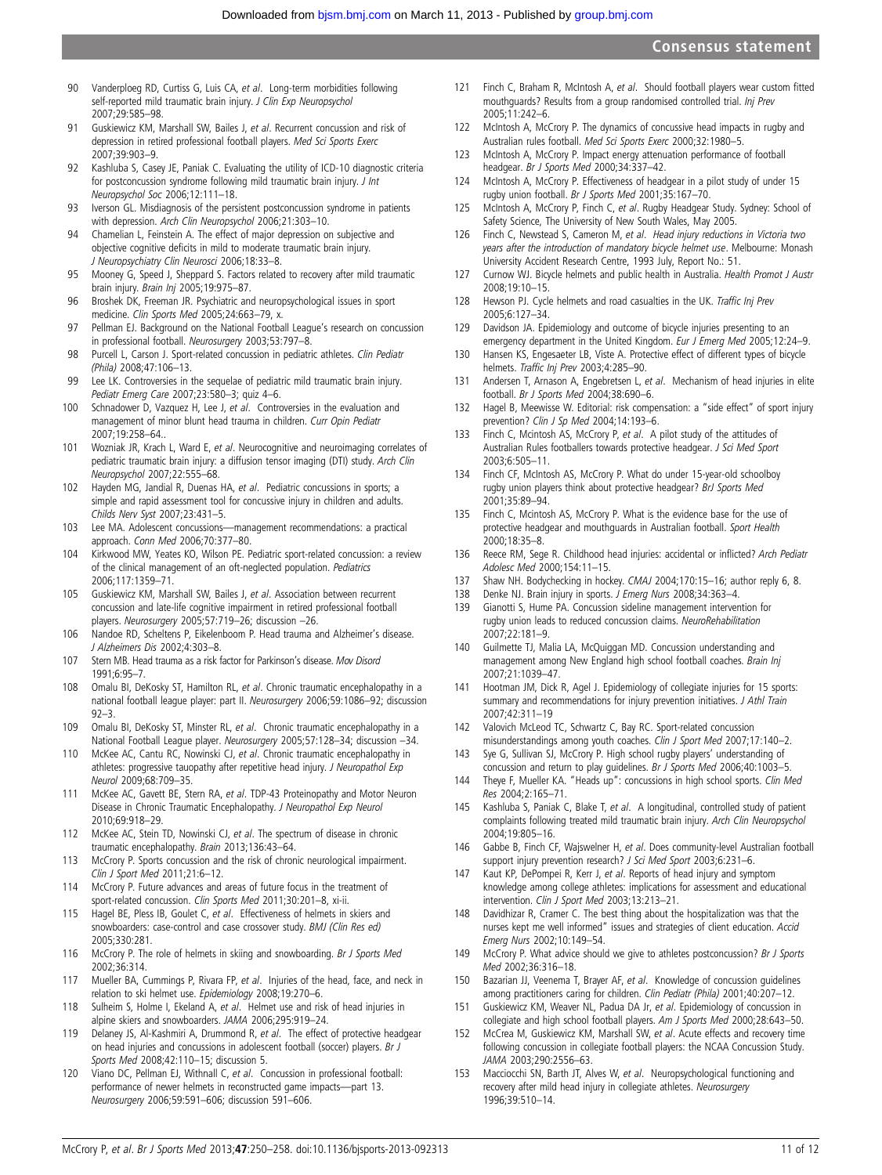- 90 Vanderploeg RD, Curtiss G, Luis CA, et al. Long-term morbidities following self-reported mild traumatic brain injury. J Clin Exp Neuropsychol 2007;29:585–98.
- 91 Guskiewicz KM, Marshall SW, Bailes J, et al. Recurrent concussion and risk of depression in retired professional football players. Med Sci Sports Exerc 2007;39:903–9.
- 92 Kashluba S, Casey JE, Paniak C. Evaluating the utility of ICD-10 diagnostic criteria for postconcussion syndrome following mild traumatic brain injury. J Int Neuropsychol Soc 2006;12:111–18.
- 93 Iverson GL. Misdiagnosis of the persistent postconcussion syndrome in patients with depression. Arch Clin Neuropsychol 2006;21:303–10.
- 94 Chamelian L, Feinstein A. The effect of major depression on subjective and objective cognitive deficits in mild to moderate traumatic brain injury. J Neuropsychiatry Clin Neurosci 2006;18:33–8.
- 95 Mooney G, Speed J, Sheppard S. Factors related to recovery after mild traumatic brain injury. Brain Inj 2005;19:975–87.
- 96 Broshek DK, Freeman JR. Psychiatric and neuropsychological issues in sport medicine. Clin Sports Med 2005;24:663–79, x.
- 97 Pellman EJ. Background on the National Football League's research on concussion in professional football. Neurosurgery 2003;53:797–8.
- 98 Purcell L, Carson J. Sport-related concussion in pediatric athletes. Clin Pediatr (Phila) 2008;47:106–13.
- 99 Lee LK. Controversies in the sequelae of pediatric mild traumatic brain injury. Pediatr Emerg Care 2007;23:580–3; quiz 4–6.
- 100 Schnadower D, Vazquez H, Lee J, et al. Controversies in the evaluation and management of minor blunt head trauma in children. Curr Opin Pediatr 2007;19:258–64..
- 101 Wozniak JR, Krach L, Ward E, et al. Neurocognitive and neuroimaging correlates of pediatric traumatic brain injury: a diffusion tensor imaging (DTI) study. Arch Clin Neuropsychol 2007;22:555–68.
- 102 Hayden MG, Jandial R, Duenas HA, et al. Pediatric concussions in sports; a simple and rapid assessment tool for concussive injury in children and adults. Childs Nerv Syst 2007;23:431–5.
- 103 Lee MA. Adolescent concussions—management recommendations: a practical approach. Conn Med 2006;70:377–80.
- 104 Kirkwood MW, Yeates KO, Wilson PE. Pediatric sport-related concussion: a review of the clinical management of an oft-neglected population. Pediatrics 2006;117:1359–71.
- 105 Guskiewicz KM, Marshall SW, Bailes J, et al. Association between recurrent concussion and late-life cognitive impairment in retired professional football players. Neurosurgery 2005;57:719–26; discussion –26.
- 106 Nandoe RD, Scheltens P, Eikelenboom P. Head trauma and Alzheimer's disease. J Alzheimers Dis 2002;4:303–8.
- 107 Stern MB. Head trauma as a risk factor for Parkinson's disease. Mov Disord 1991;6:95–7.
- 108 Omalu BI, DeKosky ST, Hamilton RL, et al. Chronic traumatic encephalopathy in a national football league player: part II. Neurosurgery 2006;59:1086–92; discussion  $92 - 3$
- 109 Omalu BI, DeKosky ST, Minster RL, et al. Chronic traumatic encephalopathy in a National Football League player. Neurosurgery 2005;57:128–34; discussion –34.
- 110 McKee AC, Cantu RC, Nowinski CJ, et al. Chronic traumatic encephalopathy in athletes: progressive tauopathy after repetitive head injury. J Neuropathol Exp Neurol 2009;68:709–35.
- 111 McKee AC, Gavett BE, Stern RA, et al. TDP-43 Proteinopathy and Motor Neuron Disease in Chronic Traumatic Encephalopathy. J Neuropathol Exp Neurol 2010;69:918–29.
- 112 McKee AC, Stein TD, Nowinski CJ, et al. The spectrum of disease in chronic traumatic encephalopathy. Brain 2013;136:43–64.
- 113 McCrory P. Sports concussion and the risk of chronic neurological impairment. Clin J Sport Med 2011;21:6–12.
- 114 McCrory P. Future advances and areas of future focus in the treatment of sport-related concussion. Clin Sports Med 2011;30:201-8, xi-ii.
- 115 Hagel BE, Pless IB, Goulet C, et al. Effectiveness of helmets in skiers and snowboarders: case-control and case crossover study. BMJ (Clin Res ed) 2005;330:281.
- 116 McCrory P. The role of helmets in skiing and snowboarding. Br J Sports Med 2002;36:314.
- 117 Mueller BA, Cummings P, Rivara FP, et al. Injuries of the head, face, and neck in relation to ski helmet use. Epidemiology 2008;19:270–6.
- 118 Sulheim S, Holme I, Ekeland A, et al. Helmet use and risk of head injuries in alpine skiers and snowboarders. JAMA 2006;295:919–24.
- 119 Delaney JS, Al-Kashmiri A, Drummond R, et al. The effect of protective headgear on head injuries and concussions in adolescent football (soccer) players. Br J Sports Med 2008;42:110–15; discussion 5.
- 120 Viano DC, Pellman EJ, Withnall C, et al. Concussion in professional football: performance of newer helmets in reconstructed game impacts—part 13. Neurosurgery 2006;59:591–606; discussion 591–606.
- 121 Finch C, Braham R, McIntosh A, et al. Should football players wear custom fitted mouthguards? Results from a group randomised controlled trial. Inj Prev 2005;11:242–6.
- 122 McIntosh A, McCrory P. The dynamics of concussive head impacts in rugby and Australian rules football. Med Sci Sports Exerc 2000;32:1980–5.
- 123 McIntosh A, McCrory P. Impact energy attenuation performance of football headgear. Br J Sports Med 2000;34:337-42.
- 124 McIntosh A, McCrory P. Effectiveness of headgear in a pilot study of under 15 rugby union football. Br J Sports Med 2001;35:167–70.
- 125 McIntosh A, McCrory P, Finch C, et al. Rugby Headgear Study. Sydney: School of Safety Science, The University of New South Wales, May 2005.
- 126 Finch C, Newstead S, Cameron M, et al. Head injury reductions in Victoria two years after the introduction of mandatory bicycle helmet use. Melbourne: Monash University Accident Research Centre, 1993 July, Report No.: 51.
- 127 Curnow WJ. Bicycle helmets and public health in Australia. Health Promot J Austr 2008;19:10–15.
- 128 Hewson PJ. Cycle helmets and road casualties in the UK. Traffic Inj Prev 2005;6:127–34.
- 129 Davidson JA. Epidemiology and outcome of bicycle injuries presenting to an emergency department in the United Kingdom. Eur J Emerg Med 2005;12:24–9.
- 130 Hansen KS, Engesaeter LB, Viste A. Protective effect of different types of bicycle helmets. Traffic Inj Prev 2003;4:285-90.
- 131 Andersen T, Arnason A, Engebretsen L, et al. Mechanism of head injuries in elite football. Br J Sports Med 2004;38:690–6.
- 132 Hagel B, Meewisse W. Editorial: risk compensation: a "side effect" of sport injury prevention? Clin J Sp Med 2004;14:193–6.
- 133 Finch C, Mcintosh AS, McCrory P, et al. A pilot study of the attitudes of Australian Rules footballers towards protective headgear. J Sci Med Sport 2003;6:505–11.
- 134 Finch CF, McIntosh AS, McCrory P. What do under 15-year-old schoolboy rugby union players think about protective headgear? BrJ Sports Med 2001;35:89–94.
- 135 Finch C, Mcintosh AS, McCrory P. What is the evidence base for the use of protective headgear and mouthguards in Australian football. Sport Health 2000;18:35–8.
- 136 Reece RM, Sege R. Childhood head injuries: accidental or inflicted? Arch Pediatr Adolesc Med 2000;154:11–15.
- 137 Shaw NH. Bodychecking in hockey. CMAJ 2004;170:15–16; author reply 6, 8.
- 138 Denke NJ. Brain injury in sports. J Emerg Nurs 2008;34:363–4.
- 139 Gianotti S, Hume PA. Concussion sideline management intervention for rugby union leads to reduced concussion claims. NeuroRehabilitation 2007;22:181–9.
- 140 Guilmette TJ, Malia LA, McQuiggan MD. Concussion understanding and management among New England high school football coaches. Brain Inj 2007;21:1039–47.
- 141 Hootman JM, Dick R, Agel J. Epidemiology of collegiate injuries for 15 sports: summary and recommendations for injury prevention initiatives. J Athl Train 2007;42:311–19
- 142 Valovich McLeod TC, Schwartz C, Bay RC. Sport-related concussion misunderstandings among youth coaches. Clin J Sport Med 2007;17:140–2.
- 143 Sye G, Sullivan SJ, McCrory P. High school rugby players' understanding of concussion and return to play guidelines. Br J Sports Med 2006;40:1003–5.
- 144 Theye F, Mueller KA. "Heads up": concussions in high school sports. Clin Med Res 2004;2:165–71.
- 145 Kashluba S, Paniak C, Blake T, et al. A longitudinal, controlled study of patient complaints following treated mild traumatic brain injury. Arch Clin Neuropsychol 2004;19:805–16.
- 146 Gabbe B, Finch CF, Wajswelner H, et al. Does community-level Australian football support injury prevention research? J Sci Med Sport 2003;6:231-6.
- 147 Kaut KP, DePompei R, Kerr J, et al. Reports of head injury and symptom knowledge among college athletes: implications for assessment and educational intervention. Clin J Sport Med 2003;13:213–21.
- 148 Davidhizar R, Cramer C. The best thing about the hospitalization was that the nurses kept me well informed" issues and strategies of client education. Accid Emerg Nurs 2002;10:149–54.
- 149 McCrory P. What advice should we give to athletes postconcussion? Br J Sports Med 2002;36:316–18.
- 150 Bazarian JJ, Veenema T, Brayer AF, et al. Knowledge of concussion guidelines among practitioners caring for children. Clin Pediatr (Phila) 2001;40:207–12.
- 151 Guskiewicz KM, Weaver NL, Padua DA Jr, et al. Epidemiology of concussion in collegiate and high school football players. Am J Sports Med 2000;28:643–50.
- 152 McCrea M, Guskiewicz KM, Marshall SW, et al. Acute effects and recovery time following concussion in collegiate football players: the NCAA Concussion Study. JAMA 2003;290:2556–63.
- 153 Macciocchi SN, Barth JT, Alves W, et al. Neuropsychological functioning and recovery after mild head injury in collegiate athletes. Neurosurgery 1996;39:510–14.